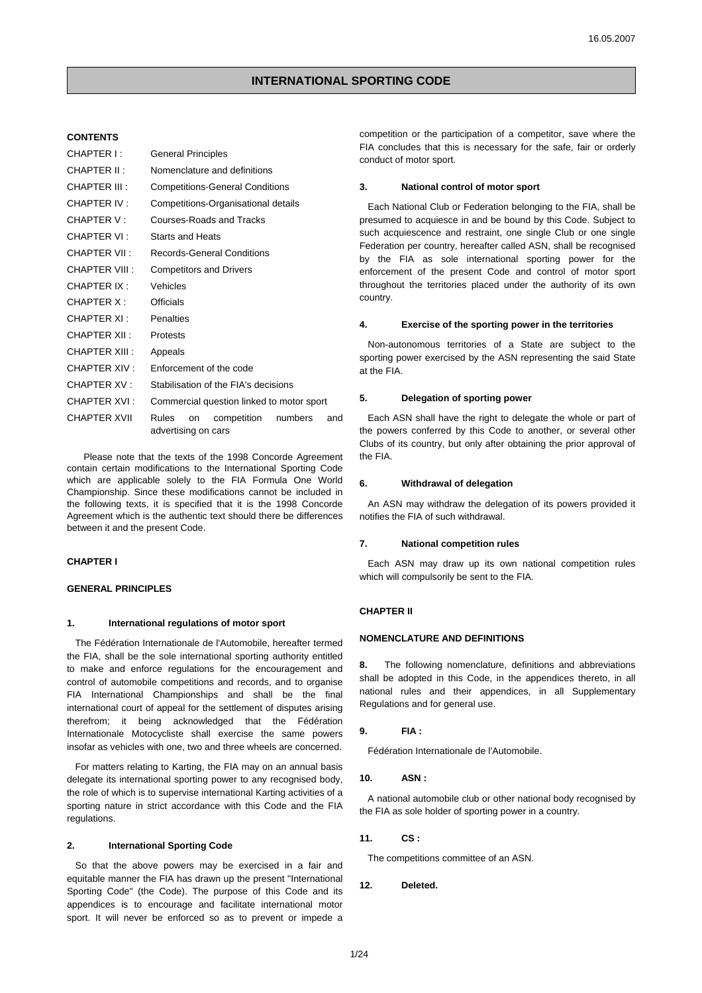# **CONTENTS**

| CHAPTER I :         | <b>General Principles</b>                                           |
|---------------------|---------------------------------------------------------------------|
| CHAPTER II:         | Nomenclature and definitions                                        |
| CHAPTER III :       | <b>Competitions-General Conditions</b>                              |
| CHAPTER IV:         | Competitions-Organisational details                                 |
| CHAPTER V :         | Courses-Roads and Tracks                                            |
| CHAPTER VI:         | <b>Starts and Heats</b>                                             |
| CHAPTER VII :       | <b>Records-General Conditions</b>                                   |
| CHAPTER VIII :      | <b>Competitors and Drivers</b>                                      |
| CHAPTER IX:         | Vehicles                                                            |
| CHAPTER X:          | Officials                                                           |
| CHAPTER XI :        | Penalties                                                           |
| CHAPTER XII :       | Protests                                                            |
| CHAPTER XIII :      | Appeals                                                             |
| CHAPTER XIV :       | Enforcement of the code                                             |
| <b>CHAPTER XV:</b>  | Stabilisation of the FIA's decisions                                |
| CHAPTER XVI:        | Commercial question linked to motor sport                           |
| <b>CHAPTER XVII</b> | Rules<br>numbers<br>competition<br>and<br>on<br>advertising on cars |

Please note that the texts of the 1998 Concorde Agreement contain certain modifications to the International Sporting Code which are applicable solely to the FIA Formula One World Championship. Since these modifications cannot be included in the following texts, it is specified that it is the 1998 Concorde Agreement which is the authentic text should there be differences between it and the present Code.

# **CHAPTER I**

## **GENERAL PRINCIPLES**

#### **1. International regulations of motor sport**

The Fédération Internationale de l'Automobile, hereafter termed the FIA, shall be the sole international sporting authority entitled to make and enforce regulations for the encouragement and control of automobile competitions and records, and to organise FIA International Championships and shall be the final international court of appeal for the settlement of disputes arising therefrom; it being acknowledged that the Fédération Internationale Motocycliste shall exercise the same powers insofar as vehicles with one, two and three wheels are concerned.

For matters relating to Karting, the FIA may on an annual basis delegate its international sporting power to any recognised body, the role of which is to supervise international Karting activities of a sporting nature in strict accordance with this Code and the FIA regulations.

# **2. International Sporting Code**

So that the above powers may be exercised in a fair and equitable manner the FIA has drawn up the present "International Sporting Code" (the Code). The purpose of this Code and its appendices is to encourage and facilitate international motor sport. It will never be enforced so as to prevent or impede a competition or the participation of a competitor, save where the FIA concludes that this is necessary for the safe, fair or orderly conduct of motor sport.

## **3. National control of motor sport**

Each National Club or Federation belonging to the FIA, shall be presumed to acquiesce in and be bound by this Code. Subject to such acquiescence and restraint, one single Club or one single Federation per country, hereafter called ASN, shall be recognised by the FIA as sole international sporting power for the enforcement of the present Code and control of motor sport throughout the territories placed under the authority of its own country.

#### **4. Exercise of the sporting power in the territories**

Non-autonomous territories of a State are subject to the sporting power exercised by the ASN representing the said State at the FIA.

### **5. Delegation of sporting power**

Each ASN shall have the right to delegate the whole or part of the powers conferred by this Code to another, or several other Clubs of its country, but only after obtaining the prior approval of the FIA.

### **6. Withdrawal of delegation**

An ASN may withdraw the delegation of its powers provided it notifies the FIA of such withdrawal.

## **7. National competition rules**

Each ASN may draw up its own national competition rules which will compulsorily be sent to the FIA.

### **CHAPTER II**

# **NOMENCLATURE AND DEFINITIONS**

**8.** The following nomenclature, definitions and abbreviations shall be adopted in this Code, in the appendices thereto, in all national rules and their appendices, in all Supplementary Regulations and for general use.

## **9. FIA :**

Fédération Internationale de l'Automobile.

#### **10. ASN :**

A national automobile club or other national body recognised by the FIA as sole holder of sporting power in a country.

## **11. CS :**

The competitions committee of an ASN.

# **12. Deleted.**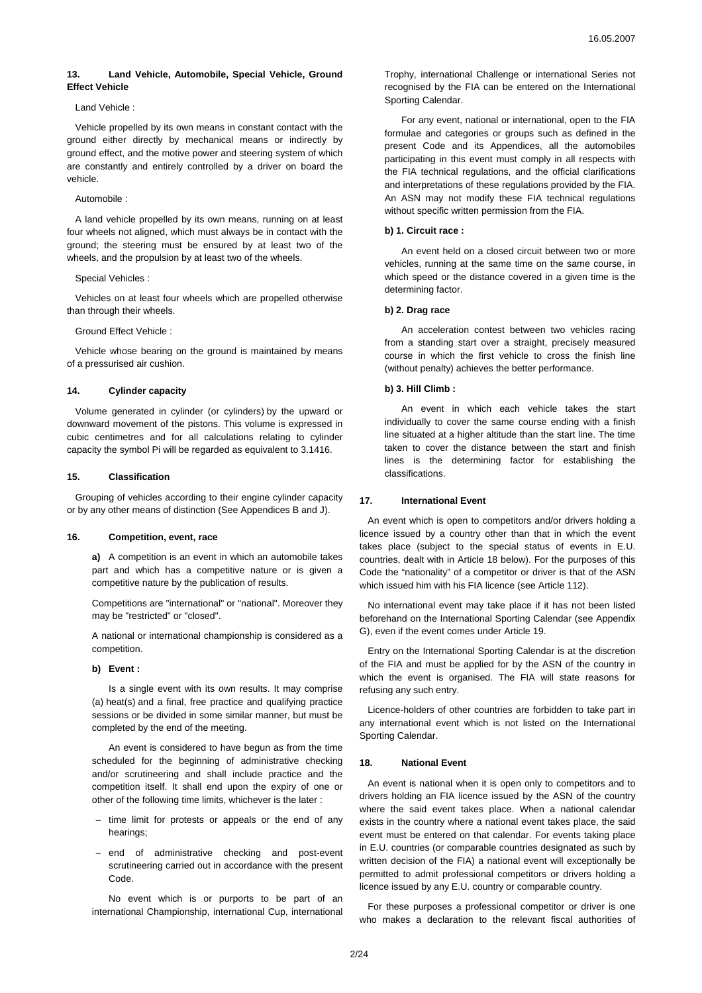# **13. Land Vehicle, Automobile, Special Vehicle, Ground Effect Vehicle**

### Land Vehicle :

Vehicle propelled by its own means in constant contact with the ground either directly by mechanical means or indirectly by ground effect, and the motive power and steering system of which are constantly and entirely controlled by a driver on board the vehicle.

### Automobile :

A land vehicle propelled by its own means, running on at least four wheels not aligned, which must always be in contact with the ground; the steering must be ensured by at least two of the wheels, and the propulsion by at least two of the wheels.

## Special Vehicles :

Vehicles on at least four wheels which are propelled otherwise than through their wheels.

## Ground Effect Vehicle :

Vehicle whose bearing on the ground is maintained by means of a pressurised air cushion.

### **14. Cylinder capacity**

Volume generated in cylinder (or cylinders) by the upward or downward movement of the pistons. This volume is expressed in cubic centimetres and for all calculations relating to cylinder capacity the symbol Pi will be regarded as equivalent to 3.1416.

### **15. Classification**

Grouping of vehicles according to their engine cylinder capacity or by any other means of distinction (See Appendices B and J).

### **16. Competition, event, race**

**a)** A competition is an event in which an automobile takes part and which has a competitive nature or is given a competitive nature by the publication of results.

Competitions are "international" or "national". Moreover they may be "restricted" or "closed".

A national or international championship is considered as a competition.

# **b) Event :**

Is a single event with its own results. It may comprise (a) heat(s) and a final, free practice and qualifying practice sessions or be divided in some similar manner, but must be completed by the end of the meeting.

An event is considered to have begun as from the time scheduled for the beginning of administrative checking and/or scrutineering and shall include practice and the competition itself. It shall end upon the expiry of one or other of the following time limits, whichever is the later :

- time limit for protests or appeals or the end of any hearings;
- − end of administrative checking and post-event scrutineering carried out in accordance with the present Code.

No event which is or purports to be part of an international Championship, international Cup, international Trophy, international Challenge or international Series not recognised by the FIA can be entered on the International Sporting Calendar.

For any event, national or international, open to the FIA formulae and categories or groups such as defined in the present Code and its Appendices, all the automobiles participating in this event must comply in all respects with the FIA technical regulations, and the official clarifications and interpretations of these regulations provided by the FIA. An ASN may not modify these FIA technical regulations without specific written permission from the FIA.

### **b) 1. Circuit race :**

An event held on a closed circuit between two or more vehicles, running at the same time on the same course, in which speed or the distance covered in a given time is the determining factor.

### **b) 2. Drag race**

An acceleration contest between two vehicles racing from a standing start over a straight, precisely measured course in which the first vehicle to cross the finish line (without penalty) achieves the better performance.

## **b) 3. Hill Climb :**

An event in which each vehicle takes the start individually to cover the same course ending with a finish line situated at a higher altitude than the start line. The time taken to cover the distance between the start and finish lines is the determining factor for establishing the classifications.

### **17. International Event**

An event which is open to competitors and/or drivers holding a licence issued by a country other than that in which the event takes place (subject to the special status of events in E.U. countries, dealt with in Article 18 below). For the purposes of this Code the "nationality" of a competitor or driver is that of the ASN which issued him with his FIA licence (see Article 112).

No international event may take place if it has not been listed beforehand on the International Sporting Calendar (see Appendix G), even if the event comes under Article 19.

Entry on the International Sporting Calendar is at the discretion of the FIA and must be applied for by the ASN of the country in which the event is organised. The FIA will state reasons for refusing any such entry.

Licence-holders of other countries are forbidden to take part in any international event which is not listed on the International Sporting Calendar.

### **18. National Event**

An event is national when it is open only to competitors and to drivers holding an FIA licence issued by the ASN of the country where the said event takes place. When a national calendar exists in the country where a national event takes place, the said event must be entered on that calendar. For events taking place in E.U. countries (or comparable countries designated as such by written decision of the FIA) a national event will exceptionally be permitted to admit professional competitors or drivers holding a licence issued by any E.U. country or comparable country.

For these purposes a professional competitor or driver is one who makes a declaration to the relevant fiscal authorities of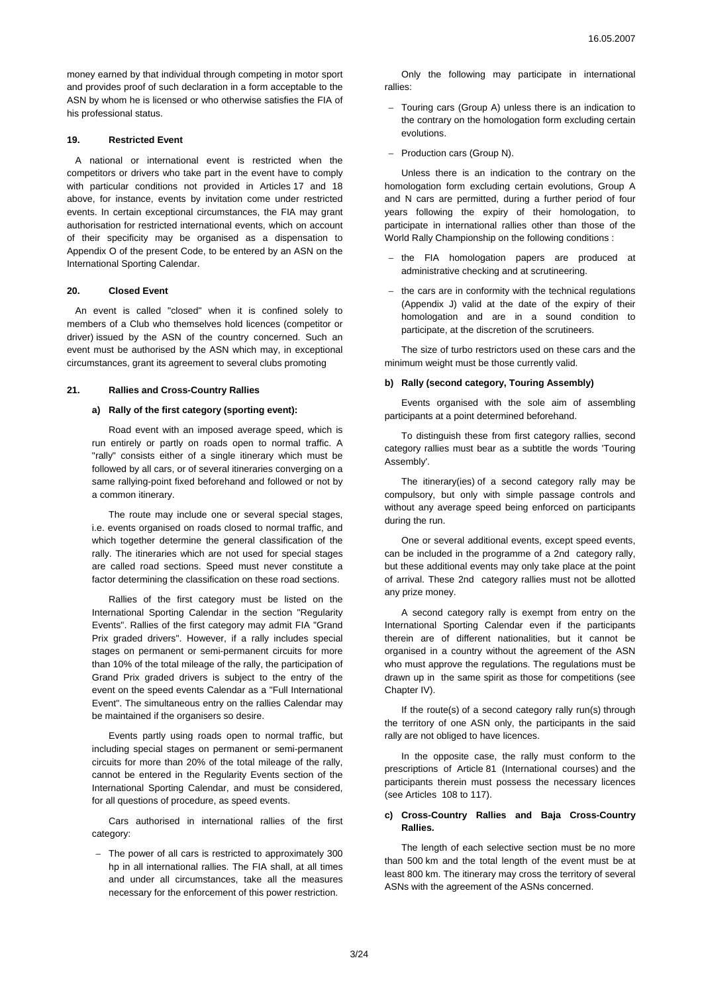money earned by that individual through competing in motor sport and provides proof of such declaration in a form acceptable to the ASN by whom he is licensed or who otherwise satisfies the FIA of his professional status.

## **19. Restricted Event**

A national or international event is restricted when the competitors or drivers who take part in the event have to comply with particular conditions not provided in Articles 17 and 18 above, for instance, events by invitation come under restricted events. In certain exceptional circumstances, the FIA may grant authorisation for restricted international events, which on account of their specificity may be organised as a dispensation to Appendix O of the present Code, to be entered by an ASN on the International Sporting Calendar.

## **20. Closed Event**

An event is called "closed" when it is confined solely to members of a Club who themselves hold licences (competitor or driver) issued by the ASN of the country concerned. Such an event must be authorised by the ASN which may, in exceptional circumstances, grant its agreement to several clubs promoting

### **21. Rallies and Cross-Country Rallies**

### **a) Rally of the first category (sporting event):**

Road event with an imposed average speed, which is run entirely or partly on roads open to normal traffic. A "rally" consists either of a single itinerary which must be followed by all cars, or of several itineraries converging on a same rallying-point fixed beforehand and followed or not by a common itinerary.

The route may include one or several special stages, i.e. events organised on roads closed to normal traffic, and which together determine the general classification of the rally. The itineraries which are not used for special stages are called road sections. Speed must never constitute a factor determining the classification on these road sections.

Rallies of the first category must be listed on the International Sporting Calendar in the section "Regularity Events". Rallies of the first category may admit FIA "Grand Prix graded drivers". However, if a rally includes special stages on permanent or semi-permanent circuits for more than 10% of the total mileage of the rally, the participation of Grand Prix graded drivers is subject to the entry of the event on the speed events Calendar as a "Full International Event". The simultaneous entry on the rallies Calendar may be maintained if the organisers so desire.

Events partly using roads open to normal traffic, but including special stages on permanent or semi-permanent circuits for more than 20% of the total mileage of the rally, cannot be entered in the Regularity Events section of the International Sporting Calendar, and must be considered, for all questions of procedure, as speed events.

Cars authorised in international rallies of the first category:

− The power of all cars is restricted to approximately 300 hp in all international rallies. The FIA shall, at all times and under all circumstances, take all the measures necessary for the enforcement of this power restriction.

Only the following may participate in international rallies:

- − Touring cars (Group A) unless there is an indication to the contrary on the homologation form excluding certain evolutions.
- − Production cars (Group N).

Unless there is an indication to the contrary on the homologation form excluding certain evolutions, Group A and N cars are permitted, during a further period of four years following the expiry of their homologation, to participate in international rallies other than those of the World Rally Championship on the following conditions :

- − the FIA homologation papers are produced at administrative checking and at scrutineering.
- the cars are in conformity with the technical regulations (Appendix J) valid at the date of the expiry of their homologation and are in a sound condition to participate, at the discretion of the scrutineers.

The size of turbo restrictors used on these cars and the minimum weight must be those currently valid.

### **b) Rally (second category, Touring Assembly)**

Events organised with the sole aim of assembling participants at a point determined beforehand.

To distinguish these from first category rallies, second category rallies must bear as a subtitle the words 'Touring Assembly'.

The itinerary(ies) of a second category rally may be compulsory, but only with simple passage controls and without any average speed being enforced on participants during the run.

One or several additional events, except speed events, can be included in the programme of a 2nd category rally, but these additional events may only take place at the point of arrival. These 2nd category rallies must not be allotted any prize money.

A second category rally is exempt from entry on the International Sporting Calendar even if the participants therein are of different nationalities, but it cannot be organised in a country without the agreement of the ASN who must approve the regulations. The regulations must be drawn up in the same spirit as those for competitions (see Chapter IV).

If the route(s) of a second category rally run(s) through the territory of one ASN only, the participants in the said rally are not obliged to have licences.

In the opposite case, the rally must conform to the prescriptions of Article 81 (International courses) and the participants therein must possess the necessary licences (see Articles 108 to 117).

# **c) Cross-Country Rallies and Baja Cross-Country Rallies.**

The length of each selective section must be no more than 500 km and the total length of the event must be at least 800 km. The itinerary may cross the territory of several ASNs with the agreement of the ASNs concerned.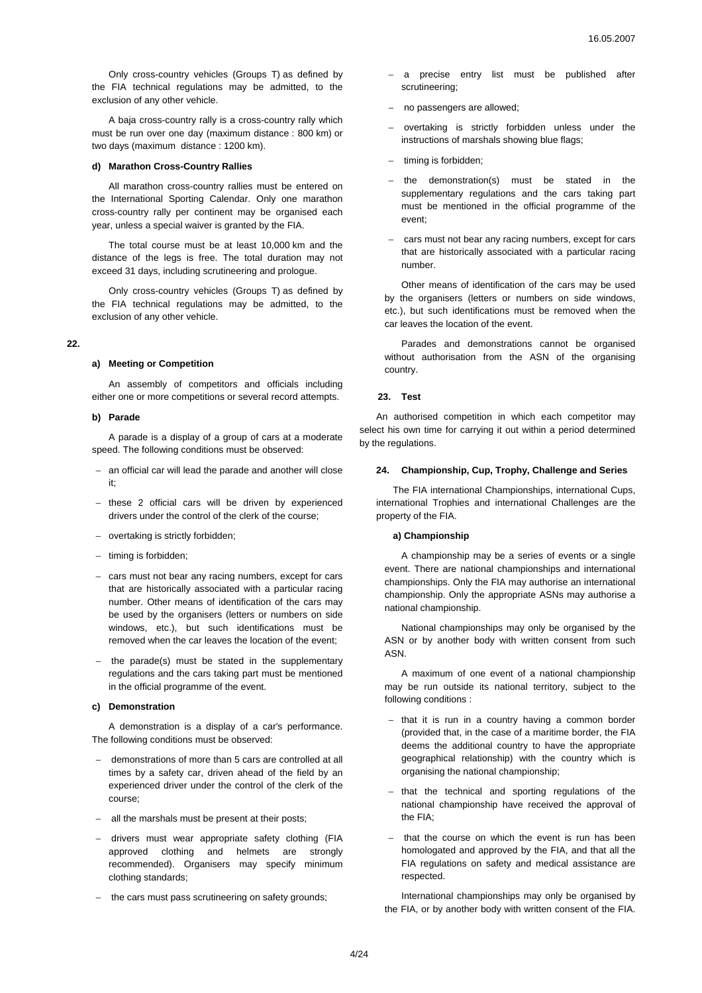Only cross-country vehicles (Groups T) as defined by the FIA technical regulations may be admitted, to the exclusion of any other vehicle.

A baja cross-country rally is a cross-country rally which must be run over one day (maximum distance : 800 km) or two days (maximum distance : 1200 km).

## **d) Marathon Cross-Country Rallies**

All marathon cross-country rallies must be entered on the International Sporting Calendar. Only one marathon cross-country rally per continent may be organised each year, unless a special waiver is granted by the FIA.

The total course must be at least 10,000 km and the distance of the legs is free. The total duration may not exceed 31 days, including scrutineering and prologue.

Only cross-country vehicles (Groups T) as defined by the FIA technical regulations may be admitted, to the exclusion of any other vehicle.

### **22.**

#### **a) Meeting or Competition**

An assembly of competitors and officials including either one or more competitions or several record attempts.

### **b) Parade**

A parade is a display of a group of cars at a moderate speed. The following conditions must be observed:

- − an official car will lead the parade and another will close it;
- − these 2 official cars will be driven by experienced drivers under the control of the clerk of the course;
- − overtaking is strictly forbidden;
- − timing is forbidden;
- − cars must not bear any racing numbers, except for cars that are historically associated with a particular racing number. Other means of identification of the cars may be used by the organisers (letters or numbers on side windows, etc.), but such identifications must be removed when the car leaves the location of the event;
- the parade(s) must be stated in the supplementary regulations and the cars taking part must be mentioned in the official programme of the event.

### **c) Demonstration**

A demonstration is a display of a car's performance. The following conditions must be observed:

- − demonstrations of more than 5 cars are controlled at all times by a safety car, driven ahead of the field by an experienced driver under the control of the clerk of the course;
- − all the marshals must be present at their posts;
- − drivers must wear appropriate safety clothing (FIA approved clothing and helmets are strongly recommended). Organisers may specify minimum clothing standards;
- − the cars must pass scrutineering on safety grounds;
- − a precise entry list must be published after scrutineering;
- − no passengers are allowed;
- − overtaking is strictly forbidden unless under the instructions of marshals showing blue flags;
- timing is forbidden;
- − the demonstration(s) must be stated in the supplementary regulations and the cars taking part must be mentioned in the official programme of the event;
- − cars must not bear any racing numbers, except for cars that are historically associated with a particular racing number.

Other means of identification of the cars may be used by the organisers (letters or numbers on side windows, etc.), but such identifications must be removed when the car leaves the location of the event.

Parades and demonstrations cannot be organised without authorisation from the ASN of the organising country.

# **23. Test**

An authorised competition in which each competitor may select his own time for carrying it out within a period determined by the regulations.

## **24. Championship, Cup, Trophy, Challenge and Series**

The FIA international Championships, international Cups, international Trophies and international Challenges are the property of the FIA.

# **a) Championship**

A championship may be a series of events or a single event. There are national championships and international championships. Only the FIA may authorise an international championship. Only the appropriate ASNs may authorise a national championship.

National championships may only be organised by the ASN or by another body with written consent from such ASN.

A maximum of one event of a national championship may be run outside its national territory, subject to the following conditions :

- − that it is run in a country having a common border (provided that, in the case of a maritime border, the FIA deems the additional country to have the appropriate geographical relationship) with the country which is organising the national championship;
- that the technical and sporting regulations of the national championship have received the approval of the FIA;
- that the course on which the event is run has been homologated and approved by the FIA, and that all the FIA regulations on safety and medical assistance are respected.

International championships may only be organised by the FIA, or by another body with written consent of the FIA.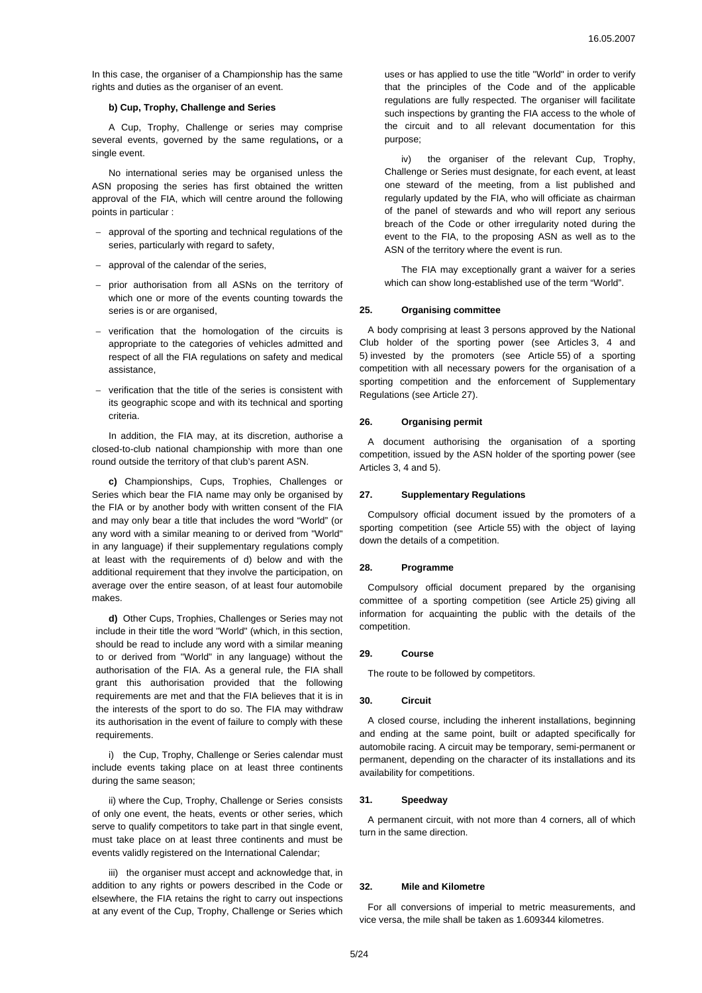In this case, the organiser of a Championship has the same rights and duties as the organiser of an event.

## **b) Cup, Trophy, Challenge and Series**

A Cup, Trophy, Challenge or series may comprise several events, governed by the same regulations**,** or a single event.

No international series may be organised unless the ASN proposing the series has first obtained the written approval of the FIA, which will centre around the following points in particular :

- − approval of the sporting and technical regulations of the series, particularly with regard to safety,
- − approval of the calendar of the series,
- − prior authorisation from all ASNs on the territory of which one or more of the events counting towards the series is or are organised,
- − verification that the homologation of the circuits is appropriate to the categories of vehicles admitted and respect of all the FIA regulations on safety and medical assistance,
- verification that the title of the series is consistent with its geographic scope and with its technical and sporting criteria.

In addition, the FIA may, at its discretion, authorise a closed-to-club national championship with more than one round outside the territory of that club's parent ASN.

**c)** Championships, Cups, Trophies, Challenges or Series which bear the FIA name may only be organised by the FIA or by another body with written consent of the FIA and may only bear a title that includes the word "World" (or any word with a similar meaning to or derived from "World" in any language) if their supplementary regulations comply at least with the requirements of d) below and with the additional requirement that they involve the participation, on average over the entire season, of at least four automobile makes.

 **d)** Other Cups, Trophies, Challenges or Series may not include in their title the word "World" (which, in this section, should be read to include any word with a similar meaning to or derived from "World" in any language) without the authorisation of the FIA. As a general rule, the FIA shall grant this authorisation provided that the following requirements are met and that the FIA believes that it is in the interests of the sport to do so. The FIA may withdraw its authorisation in the event of failure to comply with these requirements.

i) the Cup, Trophy, Challenge or Series calendar must include events taking place on at least three continents during the same season;

ii) where the Cup, Trophy, Challenge or Series consists of only one event, the heats, events or other series, which serve to qualify competitors to take part in that single event, must take place on at least three continents and must be events validly registered on the International Calendar;

iii) the organiser must accept and acknowledge that, in addition to any rights or powers described in the Code or elsewhere, the FIA retains the right to carry out inspections at any event of the Cup, Trophy, Challenge or Series which uses or has applied to use the title "World" in order to verify that the principles of the Code and of the applicable regulations are fully respected. The organiser will facilitate such inspections by granting the FIA access to the whole of the circuit and to all relevant documentation for this purpose;

iv) the organiser of the relevant Cup, Trophy, Challenge or Series must designate, for each event, at least one steward of the meeting, from a list published and regularly updated by the FIA, who will officiate as chairman of the panel of stewards and who will report any serious breach of the Code or other irregularity noted during the event to the FIA, to the proposing ASN as well as to the ASN of the territory where the event is run.

The FIA may exceptionally grant a waiver for a series which can show long-established use of the term "World".

## **25. Organising committee**

A body comprising at least 3 persons approved by the National Club holder of the sporting power (see Articles 3, 4 and 5) invested by the promoters (see Article 55) of a sporting competition with all necessary powers for the organisation of a sporting competition and the enforcement of Supplementary Regulations (see Article 27).

#### **26. Organising permit**

A document authorising the organisation of a sporting competition, issued by the ASN holder of the sporting power (see Articles 3, 4 and 5).

#### **27. Supplementary Regulations**

Compulsory official document issued by the promoters of a sporting competition (see Article 55) with the object of laying down the details of a competition.

### **28. Programme**

Compulsory official document prepared by the organising committee of a sporting competition (see Article 25) giving all information for acquainting the public with the details of the competition.

#### **29. Course**

The route to be followed by competitors.

## **30. Circuit**

A closed course, including the inherent installations, beginning and ending at the same point, built or adapted specifically for automobile racing. A circuit may be temporary, semi-permanent or permanent, depending on the character of its installations and its availability for competitions.

### **31. Speedway**

A permanent circuit, with not more than 4 corners, all of which turn in the same direction.

### **32. Mile and Kilometre**

For all conversions of imperial to metric measurements, and vice versa, the mile shall be taken as 1.609344 kilometres.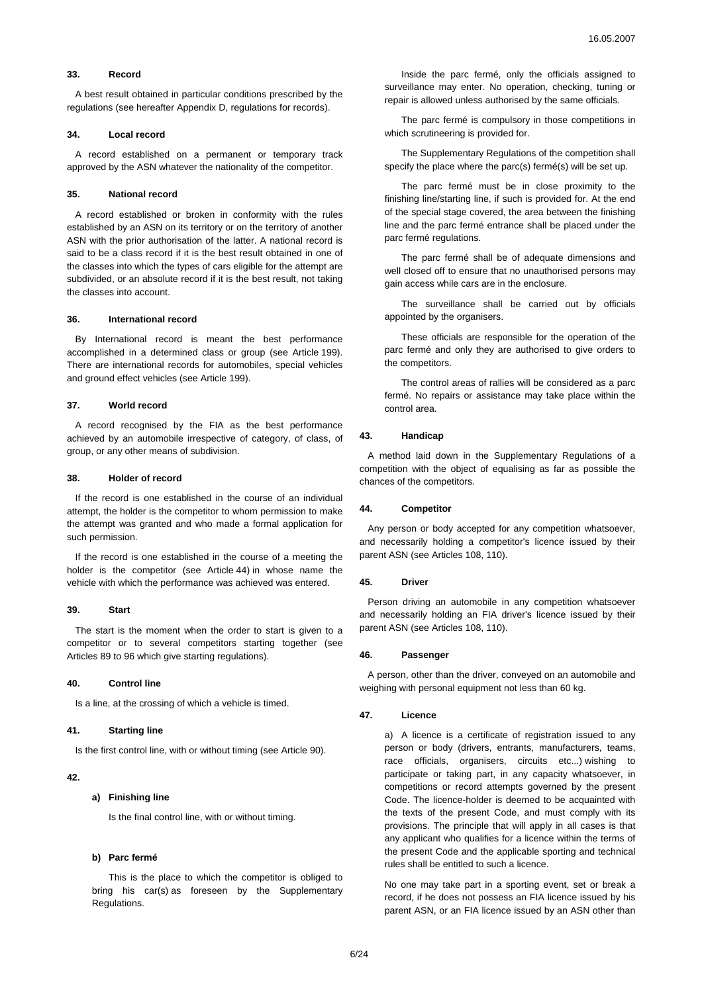## **33. Record**

A best result obtained in particular conditions prescribed by the regulations (see hereafter Appendix D, regulations for records).

### **34. Local record**

A record established on a permanent or temporary track approved by the ASN whatever the nationality of the competitor.

### **35. National record**

A record established or broken in conformity with the rules established by an ASN on its territory or on the territory of another ASN with the prior authorisation of the latter. A national record is said to be a class record if it is the best result obtained in one of the classes into which the types of cars eligible for the attempt are subdivided, or an absolute record if it is the best result, not taking the classes into account.

## **36. International record**

By International record is meant the best performance accomplished in a determined class or group (see Article 199). There are international records for automobiles, special vehicles and ground effect vehicles (see Article 199).

## **37. World record**

A record recognised by the FIA as the best performance achieved by an automobile irrespective of category, of class, of group, or any other means of subdivision.

#### **38. Holder of record**

If the record is one established in the course of an individual attempt, the holder is the competitor to whom permission to make the attempt was granted and who made a formal application for such permission.

If the record is one established in the course of a meeting the holder is the competitor (see Article 44) in whose name the vehicle with which the performance was achieved was entered.

#### **39. Start**

The start is the moment when the order to start is given to a competitor or to several competitors starting together (see Articles 89 to 96 which give starting regulations).

## **40. Control line**

Is a line, at the crossing of which a vehicle is timed.

### **41. Starting line**

Is the first control line, with or without timing (see Article 90).

#### **42.**

# **a) Finishing line**

Is the final control line, with or without timing.

## **b) Parc fermé**

This is the place to which the competitor is obliged to bring his car(s) as foreseen by the Supplementary Regulations.

Inside the parc fermé, only the officials assigned to surveillance may enter. No operation, checking, tuning or repair is allowed unless authorised by the same officials.

The parc fermé is compulsory in those competitions in which scrutineering is provided for.

The Supplementary Regulations of the competition shall specify the place where the parc(s) fermé(s) will be set up.

The parc fermé must be in close proximity to the finishing line/starting line, if such is provided for. At the end of the special stage covered, the area between the finishing line and the parc fermé entrance shall be placed under the parc fermé regulations.

The parc fermé shall be of adequate dimensions and well closed off to ensure that no unauthorised persons may gain access while cars are in the enclosure.

The surveillance shall be carried out by officials appointed by the organisers.

These officials are responsible for the operation of the parc fermé and only they are authorised to give orders to the competitors.

The control areas of rallies will be considered as a parc fermé. No repairs or assistance may take place within the control area.

### **43. Handicap**

A method laid down in the Supplementary Regulations of a competition with the object of equalising as far as possible the chances of the competitors.

#### **44. Competitor**

Any person or body accepted for any competition whatsoever, and necessarily holding a competitor's licence issued by their parent ASN (see Articles 108, 110).

#### **45. Driver**

Person driving an automobile in any competition whatsoever and necessarily holding an FIA driver's licence issued by their parent ASN (see Articles 108, 110).

#### **46. Passenger**

A person, other than the driver, conveyed on an automobile and weighing with personal equipment not less than 60 kg.

### **47. Licence**

a) A licence is a certificate of registration issued to any person or body (drivers, entrants, manufacturers, teams, race officials, organisers, circuits etc...) wishing to participate or taking part, in any capacity whatsoever, in competitions or record attempts governed by the present Code. The licence-holder is deemed to be acquainted with the texts of the present Code, and must comply with its provisions. The principle that will apply in all cases is that any applicant who qualifies for a licence within the terms of the present Code and the applicable sporting and technical rules shall be entitled to such a licence.

No one may take part in a sporting event, set or break a record, if he does not possess an FIA licence issued by his parent ASN, or an FIA licence issued by an ASN other than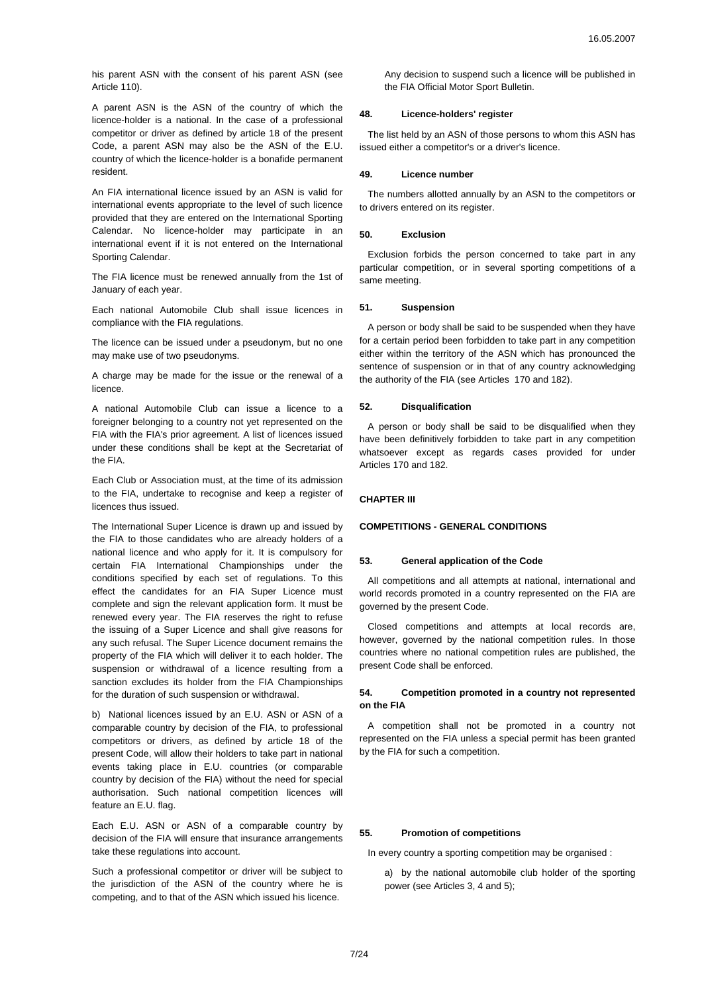his parent ASN with the consent of his parent ASN (see Article 110).

A parent ASN is the ASN of the country of which the licence-holder is a national. In the case of a professional competitor or driver as defined by article 18 of the present Code, a parent ASN may also be the ASN of the E.U. country of which the licence-holder is a bonafide permanent resident.

An FIA international licence issued by an ASN is valid for international events appropriate to the level of such licence provided that they are entered on the International Sporting Calendar. No licence-holder may participate in an international event if it is not entered on the International Sporting Calendar.

The FIA licence must be renewed annually from the 1st of January of each year.

Each national Automobile Club shall issue licences in compliance with the FIA regulations.

The licence can be issued under a pseudonym, but no one may make use of two pseudonyms.

A charge may be made for the issue or the renewal of a licence.

A national Automobile Club can issue a licence to a foreigner belonging to a country not yet represented on the FIA with the FIA's prior agreement. A list of licences issued under these conditions shall be kept at the Secretariat of the FIA.

Each Club or Association must, at the time of its admission to the FIA, undertake to recognise and keep a register of licences thus issued.

The International Super Licence is drawn up and issued by the FIA to those candidates who are already holders of a national licence and who apply for it. It is compulsory for certain FIA International Championships under the conditions specified by each set of regulations. To this effect the candidates for an FIA Super Licence must complete and sign the relevant application form. It must be renewed every year. The FIA reserves the right to refuse the issuing of a Super Licence and shall give reasons for any such refusal. The Super Licence document remains the property of the FIA which will deliver it to each holder. The suspension or withdrawal of a licence resulting from a sanction excludes its holder from the FIA Championships for the duration of such suspension or withdrawal.

b) National licences issued by an E.U. ASN or ASN of a comparable country by decision of the FIA, to professional competitors or drivers, as defined by article 18 of the present Code, will allow their holders to take part in national events taking place in E.U. countries (or comparable country by decision of the FIA) without the need for special authorisation. Such national competition licences will feature an E.U. flag.

Each E.U. ASN or ASN of a comparable country by decision of the FIA will ensure that insurance arrangements take these regulations into account.

Such a professional competitor or driver will be subject to the jurisdiction of the ASN of the country where he is competing, and to that of the ASN which issued his licence.

Any decision to suspend such a licence will be published in the FIA Official Motor Sport Bulletin.

# **48. Licence-holders' register**

The list held by an ASN of those persons to whom this ASN has issued either a competitor's or a driver's licence.

### **49. Licence number**

The numbers allotted annually by an ASN to the competitors or to drivers entered on its register.

### **50. Exclusion**

Exclusion forbids the person concerned to take part in any particular competition, or in several sporting competitions of a same meeting.

### **51. Suspension**

A person or body shall be said to be suspended when they have for a certain period been forbidden to take part in any competition either within the territory of the ASN which has pronounced the sentence of suspension or in that of any country acknowledging the authority of the FIA (see Articles 170 and 182).

## **52. Disqualification**

A person or body shall be said to be disqualified when they have been definitively forbidden to take part in any competition whatsoever except as regards cases provided for under Articles 170 and 182.

## **CHAPTER III**

### **COMPETITIONS - GENERAL CONDITIONS**

### **53. General application of the Code**

All competitions and all attempts at national, international and world records promoted in a country represented on the FIA are governed by the present Code.

Closed competitions and attempts at local records are, however, governed by the national competition rules. In those countries where no national competition rules are published, the present Code shall be enforced.

# **54. Competition promoted in a country not represented on the FIA**

A competition shall not be promoted in a country not represented on the FIA unless a special permit has been granted by the FIA for such a competition.

## **55. Promotion of competitions**

In every country a sporting competition may be organised :

a) by the national automobile club holder of the sporting power (see Articles 3, 4 and 5);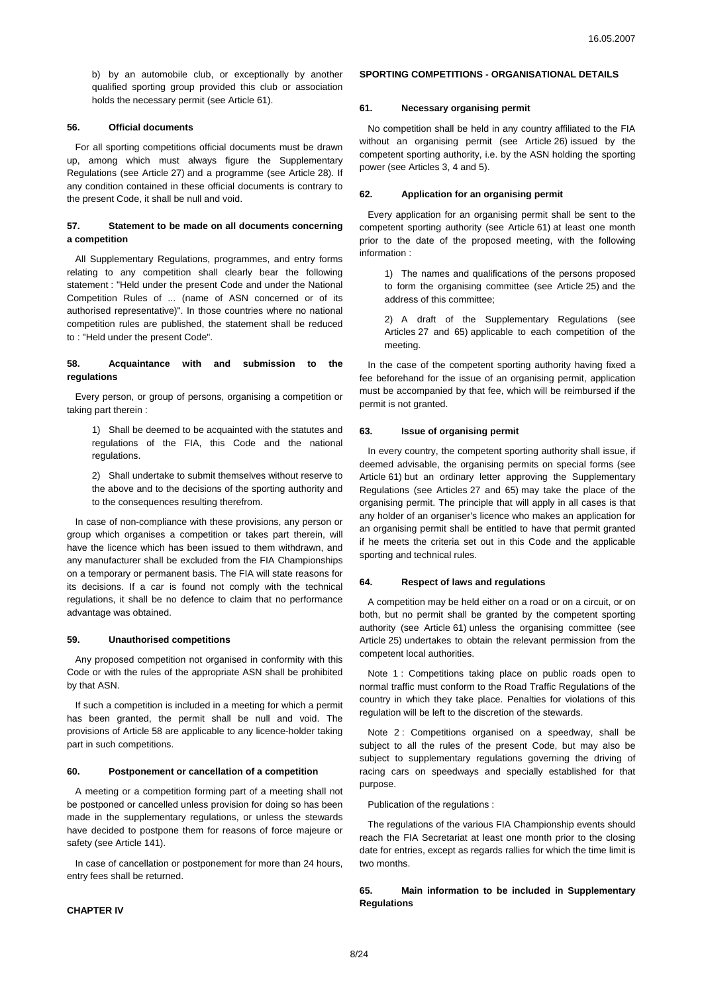b) by an automobile club, or exceptionally by another qualified sporting group provided this club or association holds the necessary permit (see Article 61).

# **56. Official documents**

For all sporting competitions official documents must be drawn up, among which must always figure the Supplementary Regulations (see Article 27) and a programme (see Article 28). If any condition contained in these official documents is contrary to the present Code, it shall be null and void.

# **57. Statement to be made on all documents concerning a competition**

All Supplementary Regulations, programmes, and entry forms relating to any competition shall clearly bear the following statement : "Held under the present Code and under the National Competition Rules of ... (name of ASN concerned or of its authorised representative)". In those countries where no national competition rules are published, the statement shall be reduced to : "Held under the present Code".

# **58. Acquaintance with and submission to the regulations**

Every person, or group of persons, organising a competition or taking part therein :

1) Shall be deemed to be acquainted with the statutes and regulations of the FIA, this Code and the national regulations.

2) Shall undertake to submit themselves without reserve to the above and to the decisions of the sporting authority and to the consequences resulting therefrom.

In case of non-compliance with these provisions, any person or group which organises a competition or takes part therein, will have the licence which has been issued to them withdrawn, and any manufacturer shall be excluded from the FIA Championships on a temporary or permanent basis. The FIA will state reasons for its decisions. If a car is found not comply with the technical regulations, it shall be no defence to claim that no performance advantage was obtained.

## **59. Unauthorised competitions**

Any proposed competition not organised in conformity with this Code or with the rules of the appropriate ASN shall be prohibited by that ASN.

If such a competition is included in a meeting for which a permit has been granted, the permit shall be null and void. The provisions of Article 58 are applicable to any licence-holder taking part in such competitions.

### **60. Postponement or cancellation of a competition**

A meeting or a competition forming part of a meeting shall not be postponed or cancelled unless provision for doing so has been made in the supplementary regulations, or unless the stewards have decided to postpone them for reasons of force majeure or safety (see Article 141).

In case of cancellation or postponement for more than 24 hours, entry fees shall be returned.

## **CHAPTER IV**

# **SPORTING COMPETITIONS - ORGANISATIONAL DETAILS**

## **61. Necessary organising permit**

No competition shall be held in any country affiliated to the FIA without an organising permit (see Article 26) issued by the competent sporting authority, i.e. by the ASN holding the sporting power (see Articles 3, 4 and 5).

#### **62. Application for an organising permit**

Every application for an organising permit shall be sent to the competent sporting authority (see Article 61) at least one month prior to the date of the proposed meeting, with the following information :

1) The names and qualifications of the persons proposed to form the organising committee (see Article 25) and the address of this committee;

2) A draft of the Supplementary Regulations (see Articles 27 and 65) applicable to each competition of the meeting.

In the case of the competent sporting authority having fixed a fee beforehand for the issue of an organising permit, application must be accompanied by that fee, which will be reimbursed if the permit is not granted.

## **63. Issue of organising permit**

In every country, the competent sporting authority shall issue, if deemed advisable, the organising permits on special forms (see Article 61) but an ordinary letter approving the Supplementary Regulations (see Articles 27 and 65) may take the place of the organising permit. The principle that will apply in all cases is that any holder of an organiser's licence who makes an application for an organising permit shall be entitled to have that permit granted if he meets the criteria set out in this Code and the applicable sporting and technical rules.

### **64. Respect of laws and regulations**

A competition may be held either on a road or on a circuit, or on both, but no permit shall be granted by the competent sporting authority (see Article 61) unless the organising committee (see Article 25) undertakes to obtain the relevant permission from the competent local authorities.

Note 1 : Competitions taking place on public roads open to normal traffic must conform to the Road Traffic Regulations of the country in which they take place. Penalties for violations of this regulation will be left to the discretion of the stewards.

Note 2: Competitions organised on a speedway, shall be subject to all the rules of the present Code, but may also be subject to supplementary regulations governing the driving of racing cars on speedways and specially established for that purpose.

Publication of the regulations :

The regulations of the various FIA Championship events should reach the FIA Secretariat at least one month prior to the closing date for entries, except as regards rallies for which the time limit is two months.

**65. Main information to be included in Supplementary Regulations**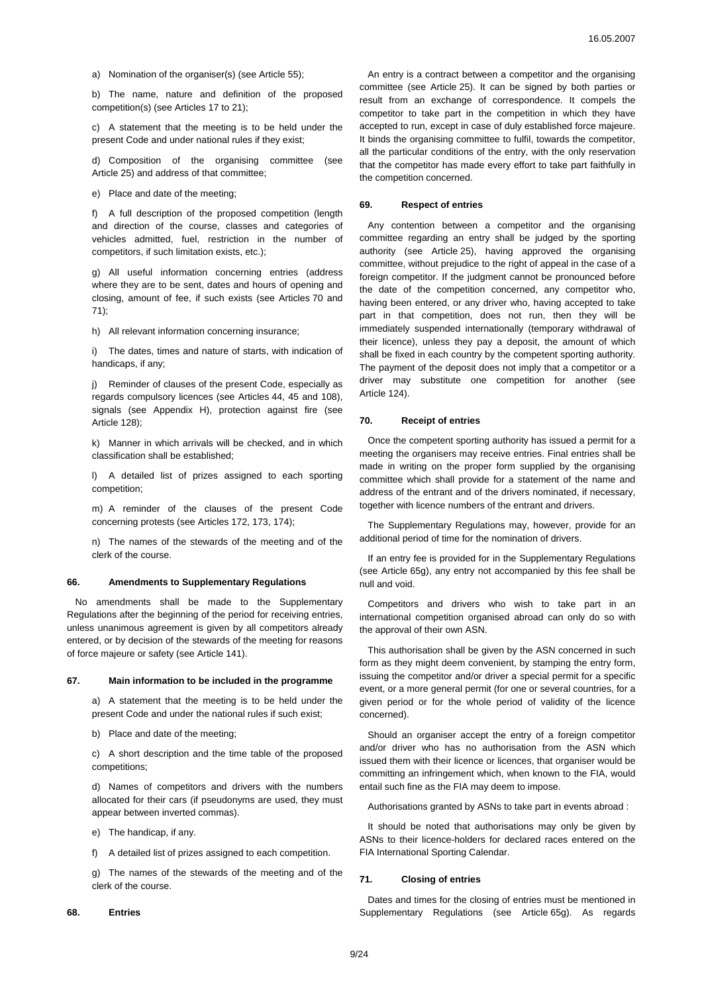a) Nomination of the organiser(s) (see Article 55);

b) The name, nature and definition of the proposed competition(s) (see Articles 17 to 21);

c) A statement that the meeting is to be held under the present Code and under national rules if they exist;

d) Composition of the organising committee (see Article 25) and address of that committee;

e) Place and date of the meeting;

f) A full description of the proposed competition (length and direction of the course, classes and categories of vehicles admitted, fuel, restriction in the number of competitors, if such limitation exists, etc.);

g) All useful information concerning entries (address where they are to be sent, dates and hours of opening and closing, amount of fee, if such exists (see Articles 70 and 71);

h) All relevant information concerning insurance;

i) The dates, times and nature of starts, with indication of handicaps, if any;

j) Reminder of clauses of the present Code, especially as regards compulsory licences (see Articles 44, 45 and 108), signals (see Appendix H), protection against fire (see Article 128);

k) Manner in which arrivals will be checked, and in which classification shall be established;

l) A detailed list of prizes assigned to each sporting competition;

m) A reminder of the clauses of the present Code concerning protests (see Articles 172, 173, 174);

n) The names of the stewards of the meeting and of the clerk of the course.

#### **66. Amendments to Supplementary Regulations**

No amendments shall be made to the Supplementary Regulations after the beginning of the period for receiving entries, unless unanimous agreement is given by all competitors already entered, or by decision of the stewards of the meeting for reasons of force majeure or safety (see Article 141).

#### **67. Main information to be included in the programme**

a) A statement that the meeting is to be held under the present Code and under the national rules if such exist;

b) Place and date of the meeting;

c) A short description and the time table of the proposed competitions;

d) Names of competitors and drivers with the numbers allocated for their cars (if pseudonyms are used, they must appear between inverted commas).

- e) The handicap, if any.
- f) A detailed list of prizes assigned to each competition.

g) The names of the stewards of the meeting and of the clerk of the course.

#### **68. Entries**

An entry is a contract between a competitor and the organising committee (see Article 25). It can be signed by both parties or result from an exchange of correspondence. It compels the competitor to take part in the competition in which they have accepted to run, except in case of duly established force majeure. It binds the organising committee to fulfil, towards the competitor, all the particular conditions of the entry, with the only reservation that the competitor has made every effort to take part faithfully in the competition concerned.

#### **69. Respect of entries**

Any contention between a competitor and the organising committee regarding an entry shall be judged by the sporting authority (see Article 25), having approved the organising committee, without prejudice to the right of appeal in the case of a foreign competitor. If the judgment cannot be pronounced before the date of the competition concerned, any competitor who, having been entered, or any driver who, having accepted to take part in that competition, does not run, then they will be immediately suspended internationally (temporary withdrawal of their licence), unless they pay a deposit, the amount of which shall be fixed in each country by the competent sporting authority. The payment of the deposit does not imply that a competitor or a driver may substitute one competition for another (see Article 124).

## **70. Receipt of entries**

Once the competent sporting authority has issued a permit for a meeting the organisers may receive entries. Final entries shall be made in writing on the proper form supplied by the organising committee which shall provide for a statement of the name and address of the entrant and of the drivers nominated, if necessary, together with licence numbers of the entrant and drivers.

The Supplementary Regulations may, however, provide for an additional period of time for the nomination of drivers.

If an entry fee is provided for in the Supplementary Regulations (see Article 65g), any entry not accompanied by this fee shall be null and void.

Competitors and drivers who wish to take part in an international competition organised abroad can only do so with the approval of their own ASN.

This authorisation shall be given by the ASN concerned in such form as they might deem convenient, by stamping the entry form, issuing the competitor and/or driver a special permit for a specific event, or a more general permit (for one or several countries, for a given period or for the whole period of validity of the licence concerned).

Should an organiser accept the entry of a foreign competitor and/or driver who has no authorisation from the ASN which issued them with their licence or licences, that organiser would be committing an infringement which, when known to the FIA, would entail such fine as the FIA may deem to impose.

Authorisations granted by ASNs to take part in events abroad :

It should be noted that authorisations may only be given by ASNs to their licence-holders for declared races entered on the FIA International Sporting Calendar.

#### **71. Closing of entries**

Dates and times for the closing of entries must be mentioned in Supplementary Regulations (see Article 65g). As regards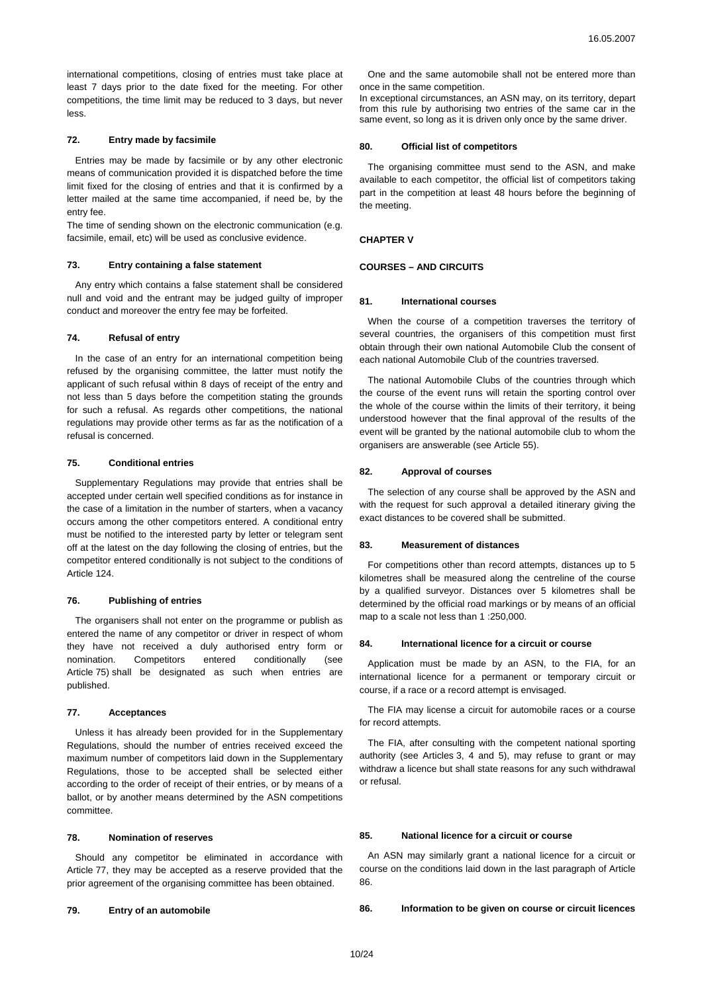international competitions, closing of entries must take place at least 7 days prior to the date fixed for the meeting. For other competitions, the time limit may be reduced to 3 days, but never less.

## **72. Entry made by facsimile**

Entries may be made by facsimile or by any other electronic means of communication provided it is dispatched before the time limit fixed for the closing of entries and that it is confirmed by a letter mailed at the same time accompanied, if need be, by the entry fee.

The time of sending shown on the electronic communication (e.g. facsimile, email, etc) will be used as conclusive evidence.

## **73. Entry containing a false statement**

Any entry which contains a false statement shall be considered null and void and the entrant may be judged guilty of improper conduct and moreover the entry fee may be forfeited.

#### **74. Refusal of entry**

In the case of an entry for an international competition being refused by the organising committee, the latter must notify the applicant of such refusal within 8 days of receipt of the entry and not less than 5 days before the competition stating the grounds for such a refusal. As regards other competitions, the national regulations may provide other terms as far as the notification of a refusal is concerned.

# **75. Conditional entries**

Supplementary Regulations may provide that entries shall be accepted under certain well specified conditions as for instance in the case of a limitation in the number of starters, when a vacancy occurs among the other competitors entered. A conditional entry must be notified to the interested party by letter or telegram sent off at the latest on the day following the closing of entries, but the competitor entered conditionally is not subject to the conditions of Article 124.

## **76. Publishing of entries**

The organisers shall not enter on the programme or publish as entered the name of any competitor or driver in respect of whom they have not received a duly authorised entry form or nomination. Competitors entered conditionally (see Article 75) shall be designated as such when entries are published.

### **77. Acceptances**

Unless it has already been provided for in the Supplementary Regulations, should the number of entries received exceed the maximum number of competitors laid down in the Supplementary Regulations, those to be accepted shall be selected either according to the order of receipt of their entries, or by means of a ballot, or by another means determined by the ASN competitions committee.

#### **78. Nomination of reserves**

Should any competitor be eliminated in accordance with Article 77, they may be accepted as a reserve provided that the prior agreement of the organising committee has been obtained.

## **79. Entry of an automobile**

One and the same automobile shall not be entered more than once in the same competition.

In exceptional circumstances, an ASN may, on its territory, depart from this rule by authorising two entries of the same car in the same event, so long as it is driven only once by the same driver.

### **80. Official list of competitors**

The organising committee must send to the ASN, and make available to each competitor, the official list of competitors taking part in the competition at least 48 hours before the beginning of the meeting.

### **CHAPTER V**

### **COURSES – AND CIRCUITS**

#### **81. International courses**

When the course of a competition traverses the territory of several countries, the organisers of this competition must first obtain through their own national Automobile Club the consent of each national Automobile Club of the countries traversed.

The national Automobile Clubs of the countries through which the course of the event runs will retain the sporting control over the whole of the course within the limits of their territory, it being understood however that the final approval of the results of the event will be granted by the national automobile club to whom the organisers are answerable (see Article 55).

### **82. Approval of courses**

The selection of any course shall be approved by the ASN and with the request for such approval a detailed itinerary giving the exact distances to be covered shall be submitted.

#### **83. Measurement of distances**

For competitions other than record attempts, distances up to 5 kilometres shall be measured along the centreline of the course by a qualified surveyor. Distances over 5 kilometres shall be determined by the official road markings or by means of an official map to a scale not less than 1 :250,000.

#### **84. International licence for a circuit or course**

Application must be made by an ASN, to the FIA, for an international licence for a permanent or temporary circuit or course, if a race or a record attempt is envisaged.

The FIA may license a circuit for automobile races or a course for record attempts.

The FIA, after consulting with the competent national sporting authority (see Articles 3, 4 and 5), may refuse to grant or may withdraw a licence but shall state reasons for any such withdrawal or refusal.

# **85. National licence for a circuit or course**

An ASN may similarly grant a national licence for a circuit or course on the conditions laid down in the last paragraph of Article 86.

#### **86. Information to be given on course or circuit licences**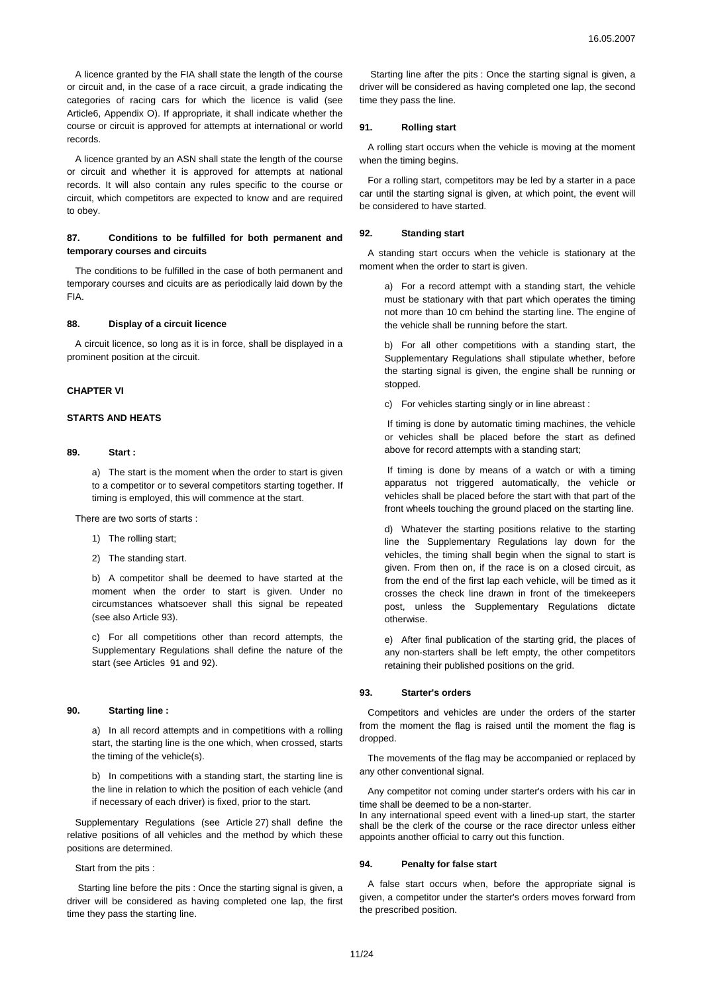A licence granted by the FIA shall state the length of the course or circuit and, in the case of a race circuit, a grade indicating the categories of racing cars for which the licence is valid (see Article6, Appendix O). If appropriate, it shall indicate whether the course or circuit is approved for attempts at international or world records.

A licence granted by an ASN shall state the length of the course or circuit and whether it is approved for attempts at national records. It will also contain any rules specific to the course or circuit, which competitors are expected to know and are required to obey.

# **87. Conditions to be fulfilled for both permanent and temporary courses and circuits**

The conditions to be fulfilled in the case of both permanent and temporary courses and cicuits are as periodically laid down by the FIA.

#### **88. Display of a circuit licence**

A circuit licence, so long as it is in force, shall be displayed in a prominent position at the circuit.

#### **CHAPTER VI**

# **STARTS AND HEATS**

#### **89. Start :**

a) The start is the moment when the order to start is given to a competitor or to several competitors starting together. If timing is employed, this will commence at the start.

There are two sorts of starts :

- 1) The rolling start;
- 2) The standing start.

b) A competitor shall be deemed to have started at the moment when the order to start is given. Under no circumstances whatsoever shall this signal be repeated (see also Article 93).

c) For all competitions other than record attempts, the Supplementary Regulations shall define the nature of the start (see Articles 91 and 92).

## **90. Starting line :**

a) In all record attempts and in competitions with a rolling start, the starting line is the one which, when crossed, starts the timing of the vehicle(s).

b) In competitions with a standing start, the starting line is the line in relation to which the position of each vehicle (and if necessary of each driver) is fixed, prior to the start.

Supplementary Regulations (see Article 27) shall define the relative positions of all vehicles and the method by which these positions are determined.

Start from the pits :

Starting line before the pits : Once the starting signal is given, a driver will be considered as having completed one lap, the first time they pass the starting line.

Starting line after the pits : Once the starting signal is given, a driver will be considered as having completed one lap, the second time they pass the line.

#### **91. Rolling start**

A rolling start occurs when the vehicle is moving at the moment when the timing begins.

For a rolling start, competitors may be led by a starter in a pace car until the starting signal is given, at which point, the event will be considered to have started.

#### **92. Standing start**

A standing start occurs when the vehicle is stationary at the moment when the order to start is given.

a) For a record attempt with a standing start, the vehicle must be stationary with that part which operates the timing not more than 10 cm behind the starting line. The engine of the vehicle shall be running before the start.

b) For all other competitions with a standing start, the Supplementary Regulations shall stipulate whether, before the starting signal is given, the engine shall be running or stopped.

c) For vehicles starting singly or in line abreast :

If timing is done by automatic timing machines, the vehicle or vehicles shall be placed before the start as defined above for record attempts with a standing start;

If timing is done by means of a watch or with a timing apparatus not triggered automatically, the vehicle or vehicles shall be placed before the start with that part of the front wheels touching the ground placed on the starting line.

d) Whatever the starting positions relative to the starting line the Supplementary Regulations lay down for the vehicles, the timing shall begin when the signal to start is given. From then on, if the race is on a closed circuit, as from the end of the first lap each vehicle, will be timed as it crosses the check line drawn in front of the timekeepers post, unless the Supplementary Regulations dictate otherwise.

e) After final publication of the starting grid, the places of any non-starters shall be left empty, the other competitors retaining their published positions on the grid.

### **93. Starter's orders**

Competitors and vehicles are under the orders of the starter from the moment the flag is raised until the moment the flag is dropped.

The movements of the flag may be accompanied or replaced by any other conventional signal.

Any competitor not coming under starter's orders with his car in time shall be deemed to be a non-starter.

In any international speed event with a lined-up start, the starter shall be the clerk of the course or the race director unless either appoints another official to carry out this function.

#### **94. Penalty for false start**

A false start occurs when, before the appropriate signal is given, a competitor under the starter's orders moves forward from the prescribed position.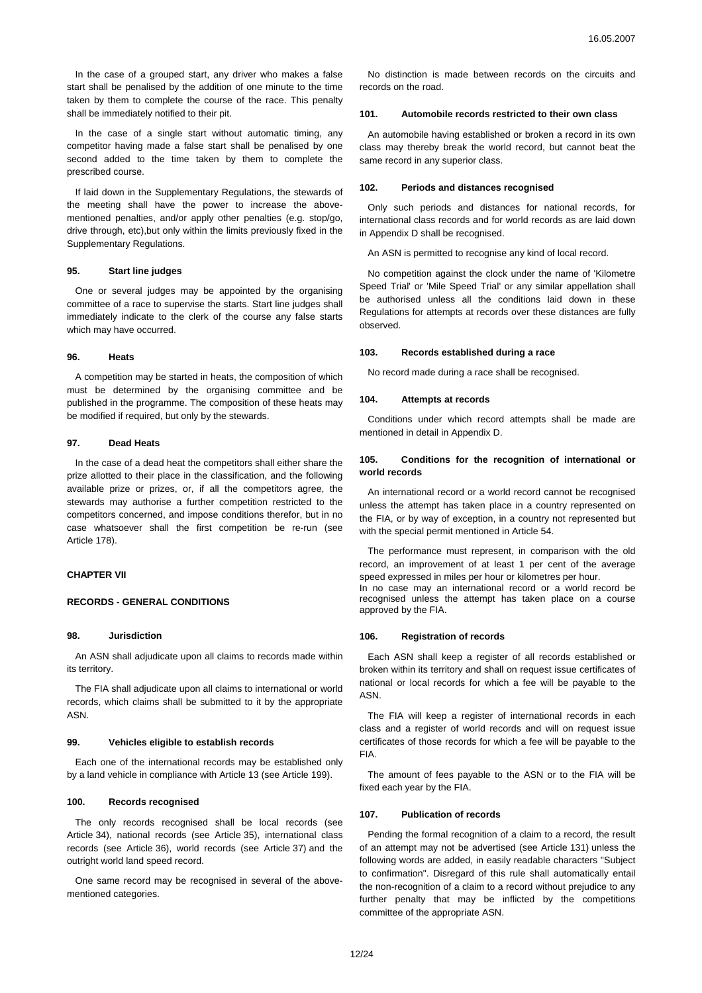In the case of a grouped start, any driver who makes a false start shall be penalised by the addition of one minute to the time taken by them to complete the course of the race. This penalty shall be immediately notified to their pit.

In the case of a single start without automatic timing, any competitor having made a false start shall be penalised by one second added to the time taken by them to complete the prescribed course.

If laid down in the Supplementary Regulations, the stewards of the meeting shall have the power to increase the abovementioned penalties, and/or apply other penalties (e.g. stop/go, drive through, etc),but only within the limits previously fixed in the Supplementary Regulations.

## **95. Start line judges**

One or several judges may be appointed by the organising committee of a race to supervise the starts. Start line judges shall immediately indicate to the clerk of the course any false starts which may have occurred.

### **96. Heats**

A competition may be started in heats, the composition of which must be determined by the organising committee and be published in the programme. The composition of these heats may be modified if required, but only by the stewards.

## **97. Dead Heats**

In the case of a dead heat the competitors shall either share the prize allotted to their place in the classification, and the following available prize or prizes, or, if all the competitors agree, the stewards may authorise a further competition restricted to the competitors concerned, and impose conditions therefor, but in no case whatsoever shall the first competition be re-run (see Article 178).

# **CHAPTER VII**

# **RECORDS - GENERAL CONDITIONS**

#### **98. Jurisdiction**

An ASN shall adjudicate upon all claims to records made within its territory.

The FIA shall adjudicate upon all claims to international or world records, which claims shall be submitted to it by the appropriate ASN.

## **99. Vehicles eligible to establish records**

Each one of the international records may be established only by a land vehicle in compliance with Article 13 (see Article 199).

# **100. Records recognised**

The only records recognised shall be local records (see Article 34), national records (see Article 35), international class records (see Article 36), world records (see Article 37) and the outright world land speed record.

One same record may be recognised in several of the abovementioned categories.

No distinction is made between records on the circuits and records on the road.

### **101. Automobile records restricted to their own class**

An automobile having established or broken a record in its own class may thereby break the world record, but cannot beat the same record in any superior class.

#### **102. Periods and distances recognised**

Only such periods and distances for national records, for international class records and for world records as are laid down in Appendix D shall be recognised.

An ASN is permitted to recognise any kind of local record.

No competition against the clock under the name of 'Kilometre Speed Trial' or 'Mile Speed Trial' or any similar appellation shall be authorised unless all the conditions laid down in these Regulations for attempts at records over these distances are fully observed.

## **103. Records established during a race**

No record made during a race shall be recognised.

#### **104. Attempts at records**

Conditions under which record attempts shall be made are mentioned in detail in Appendix D.

## **105. Conditions for the recognition of international or world records**

An international record or a world record cannot be recognised unless the attempt has taken place in a country represented on the FIA, or by way of exception, in a country not represented but with the special permit mentioned in Article 54.

The performance must represent, in comparison with the old record, an improvement of at least 1 per cent of the average speed expressed in miles per hour or kilometres per hour. In no case may an international record or a world record be recognised unless the attempt has taken place on a course approved by the FIA.

### **106. Registration of records**

Each ASN shall keep a register of all records established or broken within its territory and shall on request issue certificates of national or local records for which a fee will be payable to the ASN.

The FIA will keep a register of international records in each class and a register of world records and will on request issue certificates of those records for which a fee will be payable to the FIA.

The amount of fees payable to the ASN or to the FIA will be fixed each year by the FIA.

#### **107. Publication of records**

Pending the formal recognition of a claim to a record, the result of an attempt may not be advertised (see Article 131) unless the following words are added, in easily readable characters "Subject to confirmation". Disregard of this rule shall automatically entail the non-recognition of a claim to a record without prejudice to any further penalty that may be inflicted by the competitions committee of the appropriate ASN.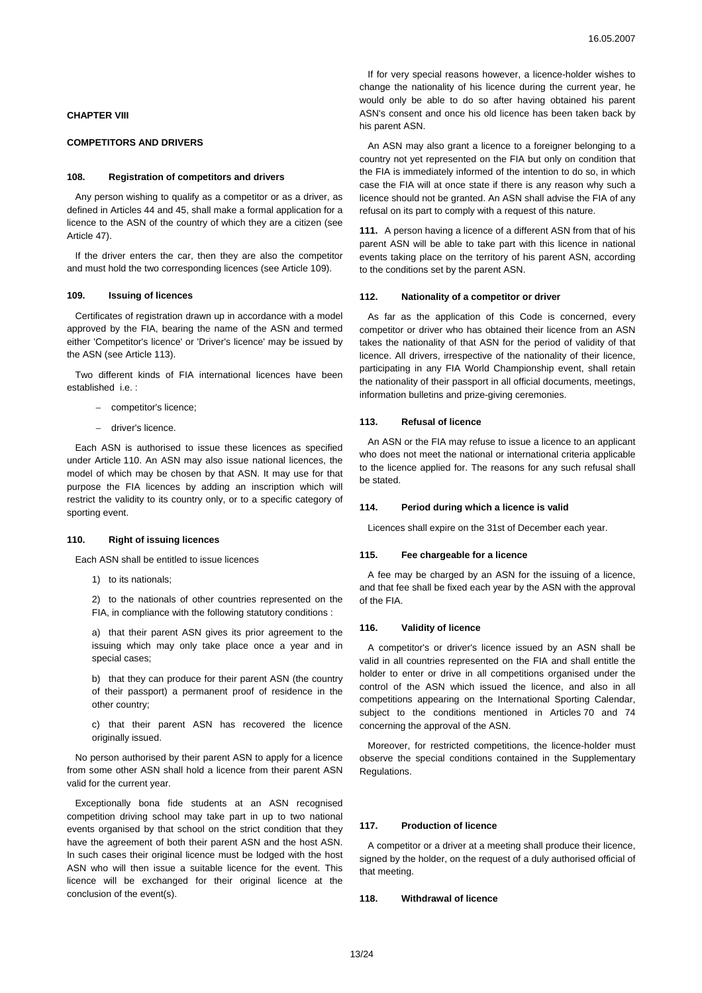### **CHAPTER VIII**

## **COMPETITORS AND DRIVERS**

### **108. Registration of competitors and drivers**

Any person wishing to qualify as a competitor or as a driver, as defined in Articles 44 and 45, shall make a formal application for a licence to the ASN of the country of which they are a citizen (see Article 47).

If the driver enters the car, then they are also the competitor and must hold the two corresponding licences (see Article 109).

## **109. Issuing of licences**

Certificates of registration drawn up in accordance with a model approved by the FIA, bearing the name of the ASN and termed either 'Competitor's licence' or 'Driver's licence' may be issued by the ASN (see Article 113).

Two different kinds of FIA international licences have been established i.e.

- − competitor's licence;
- − driver's licence.

Each ASN is authorised to issue these licences as specified under Article 110. An ASN may also issue national licences, the model of which may be chosen by that ASN. It may use for that purpose the FIA licences by adding an inscription which will restrict the validity to its country only, or to a specific category of sporting event.

## **110. Right of issuing licences**

Each ASN shall be entitled to issue licences

1) to its nationals;

2) to the nationals of other countries represented on the FIA, in compliance with the following statutory conditions :

a) that their parent ASN gives its prior agreement to the issuing which may only take place once a year and in special cases;

b) that they can produce for their parent ASN (the country of their passport) a permanent proof of residence in the other country;

c) that their parent ASN has recovered the licence originally issued.

No person authorised by their parent ASN to apply for a licence from some other ASN shall hold a licence from their parent ASN valid for the current year.

Exceptionally bona fide students at an ASN recognised competition driving school may take part in up to two national events organised by that school on the strict condition that they have the agreement of both their parent ASN and the host ASN. In such cases their original licence must be lodged with the host ASN who will then issue a suitable licence for the event. This licence will be exchanged for their original licence at the conclusion of the event(s).

If for very special reasons however, a licence-holder wishes to change the nationality of his licence during the current year, he would only be able to do so after having obtained his parent ASN's consent and once his old licence has been taken back by his parent ASN.

An ASN may also grant a licence to a foreigner belonging to a country not yet represented on the FIA but only on condition that the FIA is immediately informed of the intention to do so, in which case the FIA will at once state if there is any reason why such a licence should not be granted. An ASN shall advise the FIA of any refusal on its part to comply with a request of this nature.

**111.** A person having a licence of a different ASN from that of his parent ASN will be able to take part with this licence in national events taking place on the territory of his parent ASN, according to the conditions set by the parent ASN.

#### **112. Nationality of a competitor or driver**

As far as the application of this Code is concerned, every competitor or driver who has obtained their licence from an ASN takes the nationality of that ASN for the period of validity of that licence. All drivers, irrespective of the nationality of their licence, participating in any FIA World Championship event, shall retain the nationality of their passport in all official documents, meetings, information bulletins and prize-giving ceremonies.

## **113. Refusal of licence**

An ASN or the FIA may refuse to issue a licence to an applicant who does not meet the national or international criteria applicable to the licence applied for. The reasons for any such refusal shall be stated.

### **114. Period during which a licence is valid**

Licences shall expire on the 31st of December each year.

#### **115. Fee chargeable for a licence**

A fee may be charged by an ASN for the issuing of a licence, and that fee shall be fixed each year by the ASN with the approval of the FIA.

## **116. Validity of licence**

A competitor's or driver's licence issued by an ASN shall be valid in all countries represented on the FIA and shall entitle the holder to enter or drive in all competitions organised under the control of the ASN which issued the licence, and also in all competitions appearing on the International Sporting Calendar, subject to the conditions mentioned in Articles 70 and 74 concerning the approval of the ASN.

Moreover, for restricted competitions, the licence-holder must observe the special conditions contained in the Supplementary Regulations.

# **117. Production of licence**

A competitor or a driver at a meeting shall produce their licence, signed by the holder, on the request of a duly authorised official of that meeting.

# **118. Withdrawal of licence**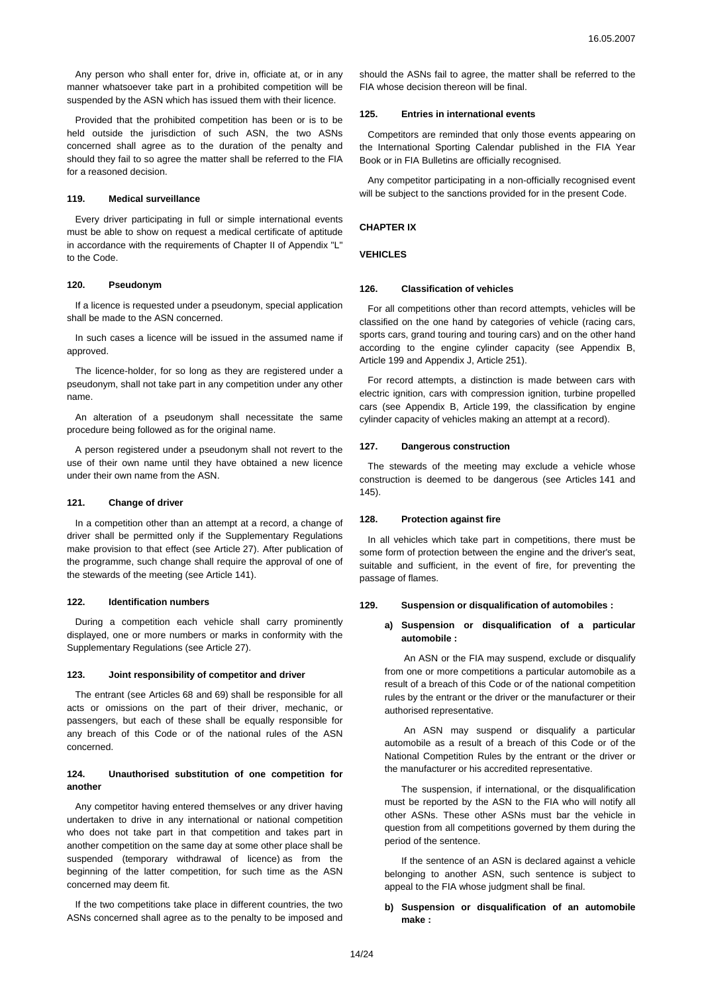Any person who shall enter for, drive in, officiate at, or in any manner whatsoever take part in a prohibited competition will be suspended by the ASN which has issued them with their licence.

Provided that the prohibited competition has been or is to be held outside the jurisdiction of such ASN, the two ASNs concerned shall agree as to the duration of the penalty and should they fail to so agree the matter shall be referred to the FIA for a reasoned decision.

## **119. Medical surveillance**

Every driver participating in full or simple international events must be able to show on request a medical certificate of aptitude in accordance with the requirements of Chapter II of Appendix "L" to the Code.

#### **120. Pseudonym**

If a licence is requested under a pseudonym, special application shall be made to the ASN concerned.

In such cases a licence will be issued in the assumed name if approved.

The licence-holder, for so long as they are registered under a pseudonym, shall not take part in any competition under any other name.

An alteration of a pseudonym shall necessitate the same procedure being followed as for the original name.

A person registered under a pseudonym shall not revert to the use of their own name until they have obtained a new licence under their own name from the ASN.

#### **121. Change of driver**

In a competition other than an attempt at a record, a change of driver shall be permitted only if the Supplementary Regulations make provision to that effect (see Article 27). After publication of the programme, such change shall require the approval of one of the stewards of the meeting (see Article 141).

### **122. Identification numbers**

During a competition each vehicle shall carry prominently displayed, one or more numbers or marks in conformity with the Supplementary Regulations (see Article 27).

#### **123. Joint responsibility of competitor and driver**

The entrant (see Articles 68 and 69) shall be responsible for all acts or omissions on the part of their driver, mechanic, or passengers, but each of these shall be equally responsible for any breach of this Code or of the national rules of the ASN concerned.

## **124. Unauthorised substitution of one competition for another**

Any competitor having entered themselves or any driver having undertaken to drive in any international or national competition who does not take part in that competition and takes part in another competition on the same day at some other place shall be suspended (temporary withdrawal of licence) as from the beginning of the latter competition, for such time as the ASN concerned may deem fit.

If the two competitions take place in different countries, the two ASNs concerned shall agree as to the penalty to be imposed and should the ASNs fail to agree, the matter shall be referred to the FIA whose decision thereon will be final.

### **125. Entries in international events**

Competitors are reminded that only those events appearing on the International Sporting Calendar published in the FIA Year Book or in FIA Bulletins are officially recognised.

Any competitor participating in a non-officially recognised event will be subject to the sanctions provided for in the present Code.

# **CHAPTER IX**

## **VEHICLES**

### **126. Classification of vehicles**

For all competitions other than record attempts, vehicles will be classified on the one hand by categories of vehicle (racing cars, sports cars, grand touring and touring cars) and on the other hand according to the engine cylinder capacity (see Appendix B, Article 199 and Appendix J, Article 251).

For record attempts, a distinction is made between cars with electric ignition, cars with compression ignition, turbine propelled cars (see Appendix B, Article 199, the classification by engine cylinder capacity of vehicles making an attempt at a record).

## **127. Dangerous construction**

The stewards of the meeting may exclude a vehicle whose construction is deemed to be dangerous (see Articles 141 and 145).

#### **128. Protection against fire**

In all vehicles which take part in competitions, there must be some form of protection between the engine and the driver's seat, suitable and sufficient, in the event of fire, for preventing the passage of flames.

#### **129. Suspension or disqualification of automobiles :**

## **a) Suspension or disqualification of a particular automobile :**

An ASN or the FIA may suspend, exclude or disqualify from one or more competitions a particular automobile as a result of a breach of this Code or of the national competition rules by the entrant or the driver or the manufacturer or their authorised representative.

An ASN may suspend or disqualify a particular automobile as a result of a breach of this Code or of the National Competition Rules by the entrant or the driver or the manufacturer or his accredited representative.

The suspension, if international, or the disqualification must be reported by the ASN to the FIA who will notify all other ASNs. These other ASNs must bar the vehicle in question from all competitions governed by them during the period of the sentence.

If the sentence of an ASN is declared against a vehicle belonging to another ASN, such sentence is subject to appeal to the FIA whose judgment shall be final.

## **b) Suspension or disqualification of an automobile make :**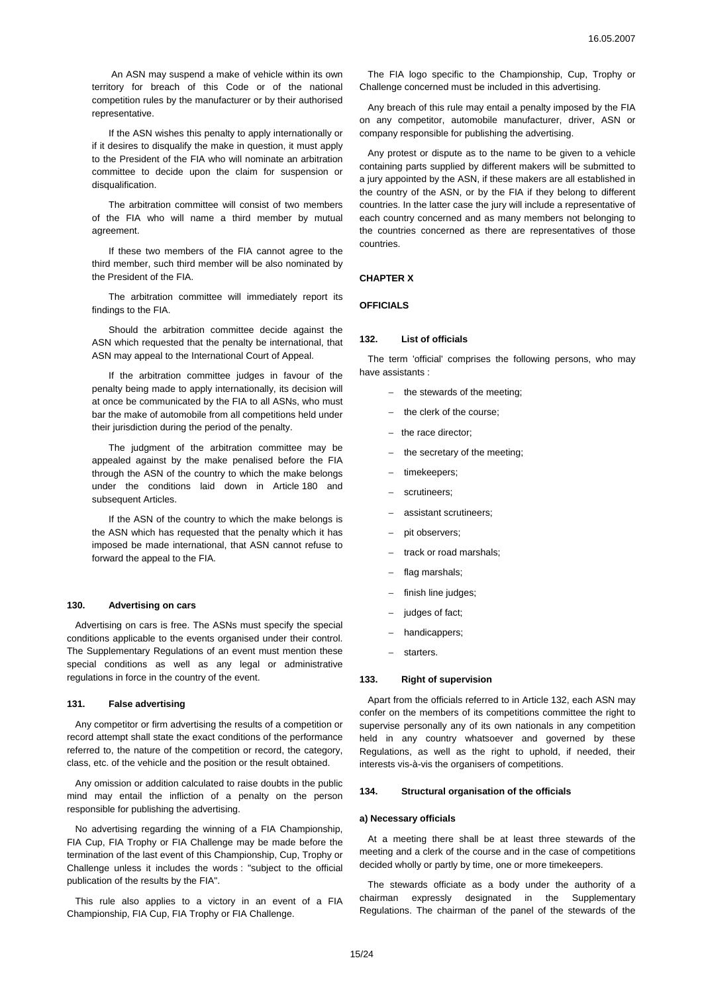An ASN may suspend a make of vehicle within its own territory for breach of this Code or of the national competition rules by the manufacturer or by their authorised representative.

If the ASN wishes this penalty to apply internationally or if it desires to disqualify the make in question, it must apply to the President of the FIA who will nominate an arbitration committee to decide upon the claim for suspension or disqualification.

The arbitration committee will consist of two members of the FIA who will name a third member by mutual agreement.

If these two members of the FIA cannot agree to the third member, such third member will be also nominated by the President of the FIA.

The arbitration committee will immediately report its findings to the FIA.

Should the arbitration committee decide against the ASN which requested that the penalty be international, that ASN may appeal to the International Court of Appeal.

If the arbitration committee judges in favour of the penalty being made to apply internationally, its decision will at once be communicated by the FIA to all ASNs, who must bar the make of automobile from all competitions held under their jurisdiction during the period of the penalty.

The judgment of the arbitration committee may be appealed against by the make penalised before the FIA through the ASN of the country to which the make belongs under the conditions laid down in Article 180 and subsequent Articles.

If the ASN of the country to which the make belongs is the ASN which has requested that the penalty which it has imposed be made international, that ASN cannot refuse to forward the appeal to the FIA.

#### **130. Advertising on cars**

Advertising on cars is free. The ASNs must specify the special conditions applicable to the events organised under their control. The Supplementary Regulations of an event must mention these special conditions as well as any legal or administrative regulations in force in the country of the event.

### **131. False advertising**

Any competitor or firm advertising the results of a competition or record attempt shall state the exact conditions of the performance referred to, the nature of the competition or record, the category, class, etc. of the vehicle and the position or the result obtained.

Any omission or addition calculated to raise doubts in the public mind may entail the infliction of a penalty on the person responsible for publishing the advertising.

No advertising regarding the winning of a FIA Championship, FIA Cup, FIA Trophy or FIA Challenge may be made before the termination of the last event of this Championship, Cup, Trophy or Challenge unless it includes the words : "subject to the official publication of the results by the FIA".

This rule also applies to a victory in an event of a FIA Championship, FIA Cup, FIA Trophy or FIA Challenge.

The FIA logo specific to the Championship, Cup, Trophy or Challenge concerned must be included in this advertising.

Any breach of this rule may entail a penalty imposed by the FIA on any competitor, automobile manufacturer, driver, ASN or company responsible for publishing the advertising.

Any protest or dispute as to the name to be given to a vehicle containing parts supplied by different makers will be submitted to a jury appointed by the ASN, if these makers are all established in the country of the ASN, or by the FIA if they belong to different countries. In the latter case the jury will include a representative of each country concerned and as many members not belonging to the countries concerned as there are representatives of those countries.

## **CHAPTER X**

# **OFFICIALS**

#### **132. List of officials**

The term 'official' comprises the following persons, who may have assistants :

- − the stewards of the meeting;
- the clerk of the course;
- − the race director;
- the secretary of the meeting;
- timekeepers;
- scrutineers;
- − assistant scrutineers;
- pit observers;
- track or road marshals;
- flag marshals:
- finish line judges;
- judges of fact;
- handicappers;
- starters.

#### **133. Right of supervision**

Apart from the officials referred to in Article 132, each ASN may confer on the members of its competitions committee the right to supervise personally any of its own nationals in any competition held in any country whatsoever and governed by these Regulations, as well as the right to uphold, if needed, their interests vis-à-vis the organisers of competitions.

## **134. Structural organisation of the officials**

# **a) Necessary officials**

At a meeting there shall be at least three stewards of the meeting and a clerk of the course and in the case of competitions decided wholly or partly by time, one or more timekeepers.

The stewards officiate as a body under the authority of a chairman expressly designated in the Supplementary Regulations. The chairman of the panel of the stewards of the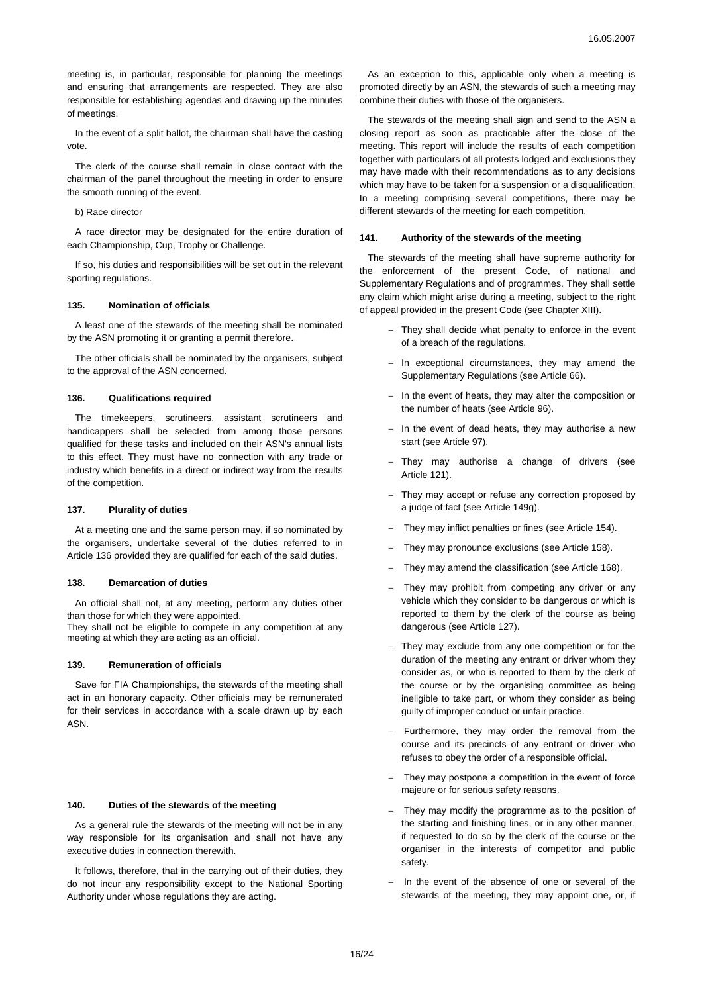meeting is, in particular, responsible for planning the meetings and ensuring that arrangements are respected. They are also responsible for establishing agendas and drawing up the minutes of meetings.

In the event of a split ballot, the chairman shall have the casting vote.

The clerk of the course shall remain in close contact with the chairman of the panel throughout the meeting in order to ensure the smooth running of the event.

## b) Race director

A race director may be designated for the entire duration of each Championship, Cup, Trophy or Challenge.

If so, his duties and responsibilities will be set out in the relevant sporting regulations.

## **135. Nomination of officials**

A least one of the stewards of the meeting shall be nominated by the ASN promoting it or granting a permit therefore.

The other officials shall be nominated by the organisers, subject to the approval of the ASN concerned.

# **136. Qualifications required**

The timekeepers, scrutineers, assistant scrutineers and handicappers shall be selected from among those persons qualified for these tasks and included on their ASN's annual lists to this effect. They must have no connection with any trade or industry which benefits in a direct or indirect way from the results of the competition.

### **137. Plurality of duties**

At a meeting one and the same person may, if so nominated by the organisers, undertake several of the duties referred to in Article 136 provided they are qualified for each of the said duties.

#### **138. Demarcation of duties**

An official shall not, at any meeting, perform any duties other than those for which they were appointed.

They shall not be eligible to compete in any competition at any meeting at which they are acting as an official.

## **139. Remuneration of officials**

Save for FIA Championships, the stewards of the meeting shall act in an honorary capacity. Other officials may be remunerated for their services in accordance with a scale drawn up by each ASN.

# **140. Duties of the stewards of the meeting**

As a general rule the stewards of the meeting will not be in any way responsible for its organisation and shall not have any executive duties in connection therewith.

It follows, therefore, that in the carrying out of their duties, they do not incur any responsibility except to the National Sporting Authority under whose regulations they are acting.

As an exception to this, applicable only when a meeting is promoted directly by an ASN, the stewards of such a meeting may combine their duties with those of the organisers.

The stewards of the meeting shall sign and send to the ASN a closing report as soon as practicable after the close of the meeting. This report will include the results of each competition together with particulars of all protests lodged and exclusions they may have made with their recommendations as to any decisions which may have to be taken for a suspension or a disqualification. In a meeting comprising several competitions, there may be different stewards of the meeting for each competition.

### **141. Authority of the stewards of the meeting**

The stewards of the meeting shall have supreme authority for the enforcement of the present Code, of national and Supplementary Regulations and of programmes. They shall settle any claim which might arise during a meeting, subject to the right of appeal provided in the present Code (see Chapter XIII).

- − They shall decide what penalty to enforce in the event of a breach of the regulations.
- − In exceptional circumstances, they may amend the Supplementary Regulations (see Article 66).
- − In the event of heats, they may alter the composition or the number of heats (see Article 96).
- − In the event of dead heats, they may authorise a new start (see Article 97).
- − They may authorise a change of drivers (see Article 121).
- − They may accept or refuse any correction proposed by a judge of fact (see Article 149g).
- They may inflict penalties or fines (see Article 154).
- They may pronounce exclusions (see Article 158).
- They may amend the classification (see Article 168).
- They may prohibit from competing any driver or any vehicle which they consider to be dangerous or which is reported to them by the clerk of the course as being dangerous (see Article 127).
- They may exclude from any one competition or for the duration of the meeting any entrant or driver whom they consider as, or who is reported to them by the clerk of the course or by the organising committee as being ineligible to take part, or whom they consider as being guilty of improper conduct or unfair practice.
- Furthermore, they may order the removal from the course and its precincts of any entrant or driver who refuses to obey the order of a responsible official.
- They may postpone a competition in the event of force majeure or for serious safety reasons.
- They may modify the programme as to the position of the starting and finishing lines, or in any other manner, if requested to do so by the clerk of the course or the organiser in the interests of competitor and public safety.
- − In the event of the absence of one or several of the stewards of the meeting, they may appoint one, or, if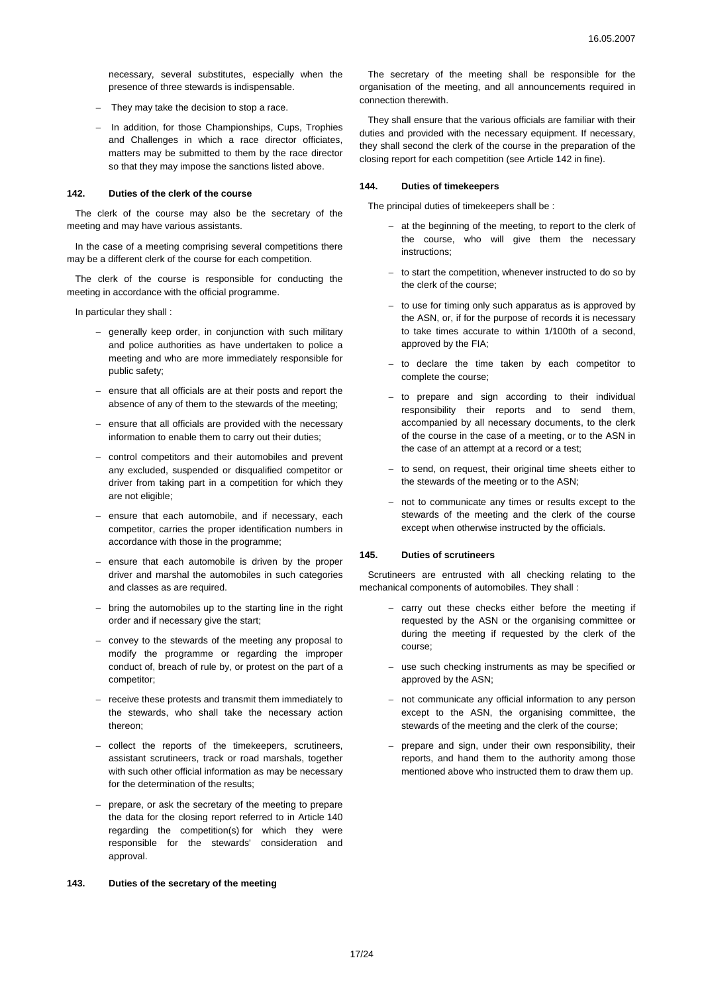necessary, several substitutes, especially when the presence of three stewards is indispensable.

- − They may take the decision to stop a race.
- − In addition, for those Championships, Cups, Trophies and Challenges in which a race director officiates, matters may be submitted to them by the race director so that they may impose the sanctions listed above.

## **142. Duties of the clerk of the course**

The clerk of the course may also be the secretary of the meeting and may have various assistants.

In the case of a meeting comprising several competitions there may be a different clerk of the course for each competition.

The clerk of the course is responsible for conducting the meeting in accordance with the official programme.

In particular they shall :

- − generally keep order, in conjunction with such military and police authorities as have undertaken to police a meeting and who are more immediately responsible for public safety;
- − ensure that all officials are at their posts and report the absence of any of them to the stewards of the meeting;
- ensure that all officials are provided with the necessary information to enable them to carry out their duties;
- − control competitors and their automobiles and prevent any excluded, suspended or disqualified competitor or driver from taking part in a competition for which they are not eligible;
- ensure that each automobile, and if necessary, each competitor, carries the proper identification numbers in accordance with those in the programme;
- ensure that each automobile is driven by the proper driver and marshal the automobiles in such categories and classes as are required.
- − bring the automobiles up to the starting line in the right order and if necessary give the start;
- − convey to the stewards of the meeting any proposal to modify the programme or regarding the improper conduct of, breach of rule by, or protest on the part of a competitor;
- − receive these protests and transmit them immediately to the stewards, who shall take the necessary action thereon;
- − collect the reports of the timekeepers, scrutineers, assistant scrutineers, track or road marshals, together with such other official information as may be necessary for the determination of the results;
- prepare, or ask the secretary of the meeting to prepare the data for the closing report referred to in Article 140 regarding the competition(s) for which they were responsible for the stewards' consideration and approval.

# **143. Duties of the secretary of the meeting**

The secretary of the meeting shall be responsible for the organisation of the meeting, and all announcements required in connection therewith.

They shall ensure that the various officials are familiar with their duties and provided with the necessary equipment. If necessary, they shall second the clerk of the course in the preparation of the closing report for each competition (see Article 142 in fine).

### **144. Duties of timekeepers**

The principal duties of timekeepers shall be :

- at the beginning of the meeting, to report to the clerk of the course, who will give them the necessary instructions;
- − to start the competition, whenever instructed to do so by the clerk of the course;
- − to use for timing only such apparatus as is approved by the ASN, or, if for the purpose of records it is necessary to take times accurate to within 1/100th of a second, approved by the FIA;
- − to declare the time taken by each competitor to complete the course;
- − to prepare and sign according to their individual responsibility their reports and to send them, accompanied by all necessary documents, to the clerk of the course in the case of a meeting, or to the ASN in the case of an attempt at a record or a test;
- − to send, on request, their original time sheets either to the stewards of the meeting or to the ASN;
- not to communicate any times or results except to the stewards of the meeting and the clerk of the course except when otherwise instructed by the officials.

### **145. Duties of scrutineers**

Scrutineers are entrusted with all checking relating to the mechanical components of automobiles. They shall :

- carry out these checks either before the meeting if requested by the ASN or the organising committee or during the meeting if requested by the clerk of the course;
- use such checking instruments as may be specified or approved by the ASN;
- not communicate any official information to any person except to the ASN, the organising committee, the stewards of the meeting and the clerk of the course;
- prepare and sign, under their own responsibility, their reports, and hand them to the authority among those mentioned above who instructed them to draw them up.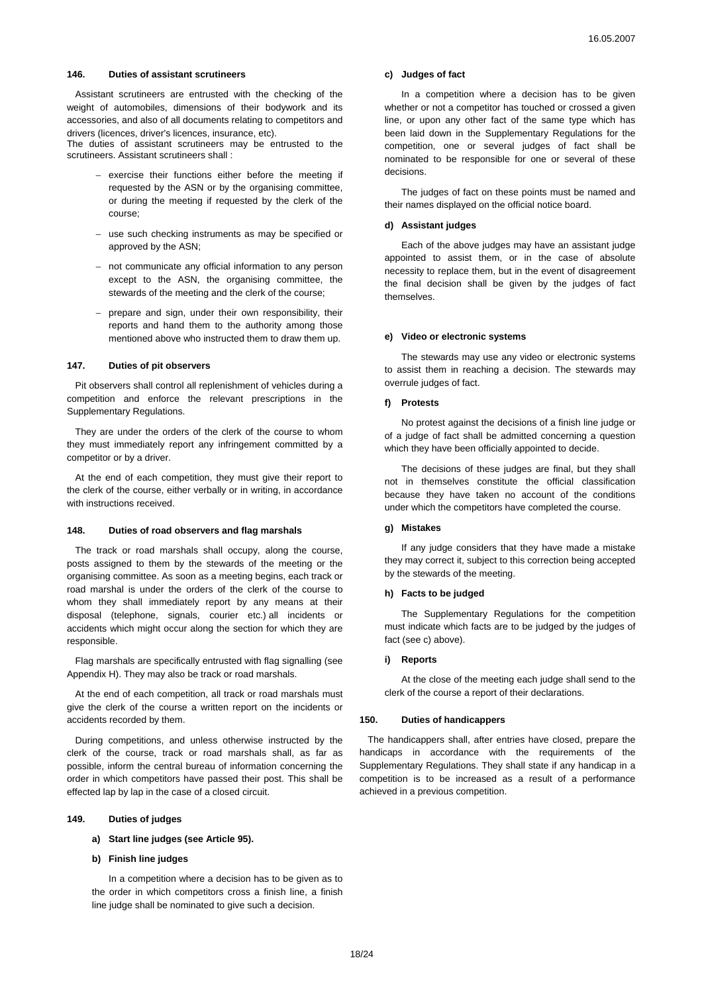## **146. Duties of assistant scrutineers**

Assistant scrutineers are entrusted with the checking of the weight of automobiles, dimensions of their bodywork and its accessories, and also of all documents relating to competitors and drivers (licences, driver's licences, insurance, etc).

The duties of assistant scrutineers may be entrusted to the scrutineers. Assistant scrutineers shall :

- − exercise their functions either before the meeting if requested by the ASN or by the organising committee, or during the meeting if requested by the clerk of the course;
- − use such checking instruments as may be specified or approved by the ASN;
- − not communicate any official information to any person except to the ASN, the organising committee, the stewards of the meeting and the clerk of the course;
- prepare and sign, under their own responsibility, their reports and hand them to the authority among those mentioned above who instructed them to draw them up.

## **147. Duties of pit observers**

Pit observers shall control all replenishment of vehicles during a competition and enforce the relevant prescriptions in the Supplementary Regulations.

They are under the orders of the clerk of the course to whom they must immediately report any infringement committed by a competitor or by a driver.

At the end of each competition, they must give their report to the clerk of the course, either verbally or in writing, in accordance with instructions received.

#### **148. Duties of road observers and flag marshals**

The track or road marshals shall occupy, along the course, posts assigned to them by the stewards of the meeting or the organising committee. As soon as a meeting begins, each track or road marshal is under the orders of the clerk of the course to whom they shall immediately report by any means at their disposal (telephone, signals, courier etc.) all incidents or accidents which might occur along the section for which they are responsible.

Flag marshals are specifically entrusted with flag signalling (see Appendix H). They may also be track or road marshals.

At the end of each competition, all track or road marshals must give the clerk of the course a written report on the incidents or accidents recorded by them.

During competitions, and unless otherwise instructed by the clerk of the course, track or road marshals shall, as far as possible, inform the central bureau of information concerning the order in which competitors have passed their post. This shall be effected lap by lap in the case of a closed circuit.

### **149. Duties of judges**

**a) Start line judges (see Article 95).** 

## **b) Finish line judges**

In a competition where a decision has to be given as to the order in which competitors cross a finish line, a finish line judge shall be nominated to give such a decision.

### **c) Judges of fact**

In a competition where a decision has to be given whether or not a competitor has touched or crossed a given line, or upon any other fact of the same type which has been laid down in the Supplementary Regulations for the competition, one or several judges of fact shall be nominated to be responsible for one or several of these decisions.

The judges of fact on these points must be named and their names displayed on the official notice board.

# **d) Assistant judges**

Each of the above judges may have an assistant judge appointed to assist them, or in the case of absolute necessity to replace them, but in the event of disagreement the final decision shall be given by the judges of fact themselves.

### **e) Video or electronic systems**

The stewards may use any video or electronic systems to assist them in reaching a decision. The stewards may overrule judges of fact.

### **f) Protests**

No protest against the decisions of a finish line judge or of a judge of fact shall be admitted concerning a question which they have been officially appointed to decide.

The decisions of these judges are final, but they shall not in themselves constitute the official classification because they have taken no account of the conditions under which the competitors have completed the course.

## **g) Mistakes**

If any judge considers that they have made a mistake they may correct it, subject to this correction being accepted by the stewards of the meeting.

## **h) Facts to be judged**

The Supplementary Regulations for the competition must indicate which facts are to be judged by the judges of fact (see c) above).

#### **i) Reports**

At the close of the meeting each judge shall send to the clerk of the course a report of their declarations.

## **150. Duties of handicappers**

The handicappers shall, after entries have closed, prepare the handicaps in accordance with the requirements of the Supplementary Regulations. They shall state if any handicap in a competition is to be increased as a result of a performance achieved in a previous competition.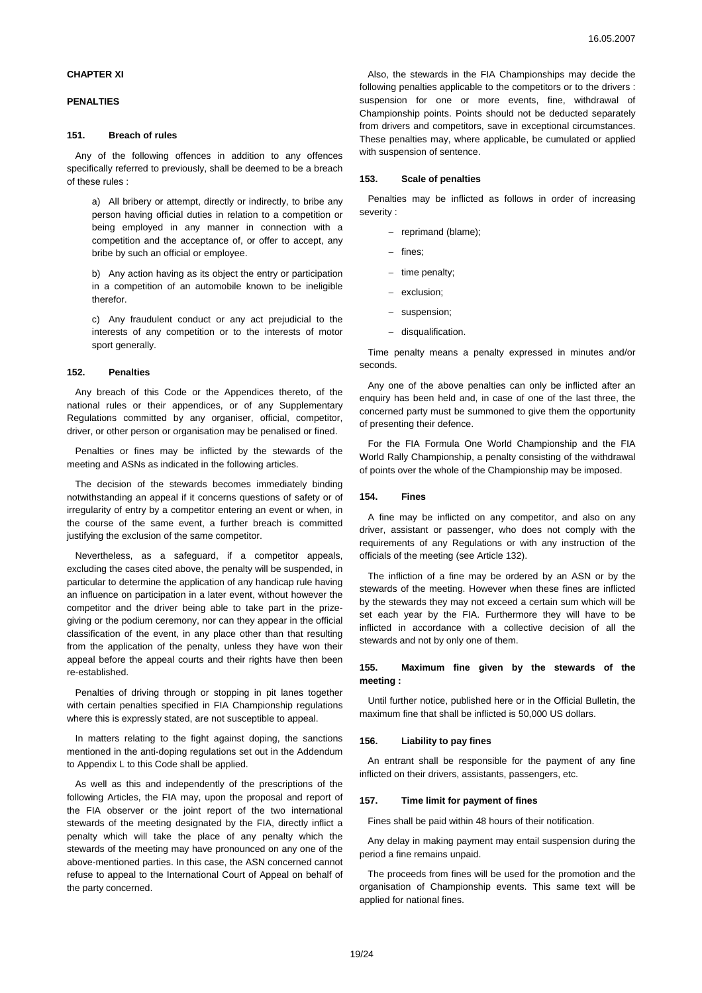# **CHAPTER XI**

## **PENALTIES**

### **151. Breach of rules**

Any of the following offences in addition to any offences specifically referred to previously, shall be deemed to be a breach of these rules :

a) All bribery or attempt, directly or indirectly, to bribe any person having official duties in relation to a competition or being employed in any manner in connection with a competition and the acceptance of, or offer to accept, any bribe by such an official or employee.

b) Any action having as its object the entry or participation in a competition of an automobile known to be ineligible therefor.

c) Any fraudulent conduct or any act prejudicial to the interests of any competition or to the interests of motor sport generally.

### **152. Penalties**

Any breach of this Code or the Appendices thereto, of the national rules or their appendices, or of any Supplementary Regulations committed by any organiser, official, competitor, driver, or other person or organisation may be penalised or fined.

Penalties or fines may be inflicted by the stewards of the meeting and ASNs as indicated in the following articles.

The decision of the stewards becomes immediately binding notwithstanding an appeal if it concerns questions of safety or of irregularity of entry by a competitor entering an event or when, in the course of the same event, a further breach is committed justifying the exclusion of the same competitor.

Nevertheless, as a safeguard, if a competitor appeals, excluding the cases cited above, the penalty will be suspended, in particular to determine the application of any handicap rule having an influence on participation in a later event, without however the competitor and the driver being able to take part in the prizegiving or the podium ceremony, nor can they appear in the official classification of the event, in any place other than that resulting from the application of the penalty, unless they have won their appeal before the appeal courts and their rights have then been re-established.

Penalties of driving through or stopping in pit lanes together with certain penalties specified in FIA Championship regulations where this is expressly stated, are not susceptible to appeal.

In matters relating to the fight against doping, the sanctions mentioned in the anti-doping regulations set out in the Addendum to Appendix L to this Code shall be applied.

As well as this and independently of the prescriptions of the following Articles, the FIA may, upon the proposal and report of the FIA observer or the joint report of the two international stewards of the meeting designated by the FIA, directly inflict a penalty which will take the place of any penalty which the stewards of the meeting may have pronounced on any one of the above-mentioned parties. In this case, the ASN concerned cannot refuse to appeal to the International Court of Appeal on behalf of the party concerned.

Also, the stewards in the FIA Championships may decide the following penalties applicable to the competitors or to the drivers : suspension for one or more events, fine, withdrawal of Championship points. Points should not be deducted separately from drivers and competitors, save in exceptional circumstances. These penalties may, where applicable, be cumulated or applied with suspension of sentence.

## **153. Scale of penalties**

Penalties may be inflicted as follows in order of increasing severity :

- − reprimand (blame);
- fines;
- − time penalty;
- exclusion;
- suspension;
- disqualification.

Time penalty means a penalty expressed in minutes and/or seconds.

Any one of the above penalties can only be inflicted after an enquiry has been held and, in case of one of the last three, the concerned party must be summoned to give them the opportunity of presenting their defence.

For the FIA Formula One World Championship and the FIA World Rally Championship, a penalty consisting of the withdrawal of points over the whole of the Championship may be imposed.

#### **154. Fines**

A fine may be inflicted on any competitor, and also on any driver, assistant or passenger, who does not comply with the requirements of any Regulations or with any instruction of the officials of the meeting (see Article 132).

The infliction of a fine may be ordered by an ASN or by the stewards of the meeting. However when these fines are inflicted by the stewards they may not exceed a certain sum which will be set each year by the FIA. Furthermore they will have to be inflicted in accordance with a collective decision of all the stewards and not by only one of them.

## **155. Maximum fine given by the stewards of the meeting :**

Until further notice, published here or in the Official Bulletin, the maximum fine that shall be inflicted is 50,000 US dollars.

# **156. Liability to pay fines**

An entrant shall be responsible for the payment of any fine inflicted on their drivers, assistants, passengers, etc.

#### **157. Time limit for payment of fines**

Fines shall be paid within 48 hours of their notification.

Any delay in making payment may entail suspension during the period a fine remains unpaid.

The proceeds from fines will be used for the promotion and the organisation of Championship events. This same text will be applied for national fines.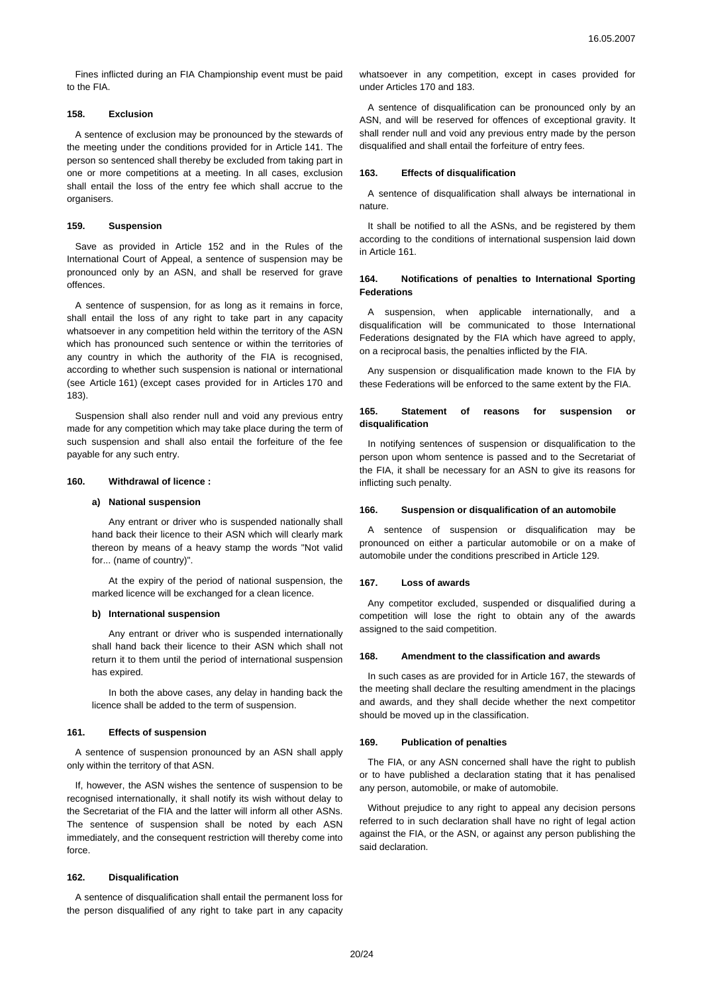Fines inflicted during an FIA Championship event must be paid to the FIA.

# **158. Exclusion**

A sentence of exclusion may be pronounced by the stewards of the meeting under the conditions provided for in Article 141. The person so sentenced shall thereby be excluded from taking part in one or more competitions at a meeting. In all cases, exclusion shall entail the loss of the entry fee which shall accrue to the organisers.

# **159. Suspension**

Save as provided in Article 152 and in the Rules of the International Court of Appeal, a sentence of suspension may be pronounced only by an ASN, and shall be reserved for grave offences.

A sentence of suspension, for as long as it remains in force, shall entail the loss of any right to take part in any capacity whatsoever in any competition held within the territory of the ASN which has pronounced such sentence or within the territories of any country in which the authority of the FIA is recognised, according to whether such suspension is national or international (see Article 161) (except cases provided for in Articles 170 and 183).

Suspension shall also render null and void any previous entry made for any competition which may take place during the term of such suspension and shall also entail the forfeiture of the fee payable for any such entry.

### **160. Withdrawal of licence :**

# **a) National suspension**

Any entrant or driver who is suspended nationally shall hand back their licence to their ASN which will clearly mark thereon by means of a heavy stamp the words "Not valid for... (name of country)".

At the expiry of the period of national suspension, the marked licence will be exchanged for a clean licence.

#### **b) International suspension**

Any entrant or driver who is suspended internationally shall hand back their licence to their ASN which shall not return it to them until the period of international suspension has expired.

In both the above cases, any delay in handing back the licence shall be added to the term of suspension.

## **161. Effects of suspension**

A sentence of suspension pronounced by an ASN shall apply only within the territory of that ASN.

If, however, the ASN wishes the sentence of suspension to be recognised internationally, it shall notify its wish without delay to the Secretariat of the FIA and the latter will inform all other ASNs. The sentence of suspension shall be noted by each ASN immediately, and the consequent restriction will thereby come into force.

#### **162. Disqualification**

A sentence of disqualification shall entail the permanent loss for the person disqualified of any right to take part in any capacity whatsoever in any competition, except in cases provided for under Articles 170 and 183.

A sentence of disqualification can be pronounced only by an ASN, and will be reserved for offences of exceptional gravity. It shall render null and void any previous entry made by the person disqualified and shall entail the forfeiture of entry fees.

## **163. Effects of disqualification**

A sentence of disqualification shall always be international in nature.

It shall be notified to all the ASNs, and be registered by them according to the conditions of international suspension laid down in Article 161.

### **164. Notifications of penalties to International Sporting Federations**

A suspension, when applicable internationally, and a disqualification will be communicated to those International Federations designated by the FIA which have agreed to apply, on a reciprocal basis, the penalties inflicted by the FIA.

Any suspension or disqualification made known to the FIA by these Federations will be enforced to the same extent by the FIA.

# **165. Statement of reasons for suspension or disqualification**

In notifying sentences of suspension or disqualification to the person upon whom sentence is passed and to the Secretariat of the FIA, it shall be necessary for an ASN to give its reasons for inflicting such penalty.

### **166. Suspension or disqualification of an automobile**

A sentence of suspension or disqualification may be pronounced on either a particular automobile or on a make of automobile under the conditions prescribed in Article 129.

#### **167. Loss of awards**

Any competitor excluded, suspended or disqualified during a competition will lose the right to obtain any of the awards assigned to the said competition.

### **168. Amendment to the classification and awards**

In such cases as are provided for in Article 167, the stewards of the meeting shall declare the resulting amendment in the placings and awards, and they shall decide whether the next competitor should be moved up in the classification.

### **169. Publication of penalties**

The FIA, or any ASN concerned shall have the right to publish or to have published a declaration stating that it has penalised any person, automobile, or make of automobile.

Without prejudice to any right to appeal any decision persons referred to in such declaration shall have no right of legal action against the FIA, or the ASN, or against any person publishing the said declaration.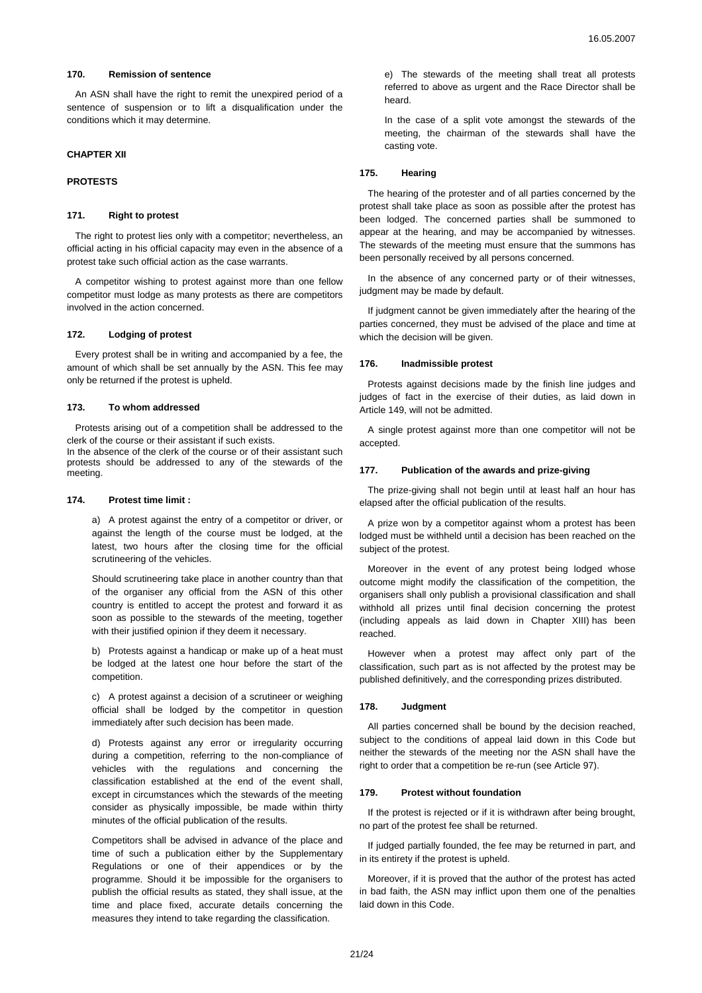# **170. Remission of sentence**

An ASN shall have the right to remit the unexpired period of a sentence of suspension or to lift a disqualification under the conditions which it may determine.

# **CHAPTER XII**

#### **PROTESTS**

## **171. Right to protest**

The right to protest lies only with a competitor; nevertheless, an official acting in his official capacity may even in the absence of a protest take such official action as the case warrants.

A competitor wishing to protest against more than one fellow competitor must lodge as many protests as there are competitors involved in the action concerned.

# **172. Lodging of protest**

Every protest shall be in writing and accompanied by a fee, the amount of which shall be set annually by the ASN. This fee may only be returned if the protest is upheld.

## **173. To whom addressed**

Protests arising out of a competition shall be addressed to the clerk of the course or their assistant if such exists.

In the absence of the clerk of the course or of their assistant such protests should be addressed to any of the stewards of the meeting.

### **174. Protest time limit :**

a) A protest against the entry of a competitor or driver, or against the length of the course must be lodged, at the latest, two hours after the closing time for the official scrutineering of the vehicles.

Should scrutineering take place in another country than that of the organiser any official from the ASN of this other country is entitled to accept the protest and forward it as soon as possible to the stewards of the meeting, together with their justified opinion if they deem it necessary.

b) Protests against a handicap or make up of a heat must be lodged at the latest one hour before the start of the competition.

c) A protest against a decision of a scrutineer or weighing official shall be lodged by the competitor in question immediately after such decision has been made.

d) Protests against any error or irregularity occurring during a competition, referring to the non-compliance of vehicles with the regulations and concerning the classification established at the end of the event shall, except in circumstances which the stewards of the meeting consider as physically impossible, be made within thirty minutes of the official publication of the results.

Competitors shall be advised in advance of the place and time of such a publication either by the Supplementary Regulations or one of their appendices or by the programme. Should it be impossible for the organisers to publish the official results as stated, they shall issue, at the time and place fixed, accurate details concerning the measures they intend to take regarding the classification.

e) The stewards of the meeting shall treat all protests referred to above as urgent and the Race Director shall be heard.

In the case of a split vote amongst the stewards of the meeting, the chairman of the stewards shall have the casting vote.

# **175. Hearing**

The hearing of the protester and of all parties concerned by the protest shall take place as soon as possible after the protest has been lodged. The concerned parties shall be summoned to appear at the hearing, and may be accompanied by witnesses. The stewards of the meeting must ensure that the summons has been personally received by all persons concerned.

In the absence of any concerned party or of their witnesses, judgment may be made by default.

If judgment cannot be given immediately after the hearing of the parties concerned, they must be advised of the place and time at which the decision will be given.

#### **176. Inadmissible protest**

Protests against decisions made by the finish line judges and judges of fact in the exercise of their duties, as laid down in Article 149, will not be admitted.

A single protest against more than one competitor will not be accepted.

## **177. Publication of the awards and prize-giving**

The prize-giving shall not begin until at least half an hour has elapsed after the official publication of the results.

A prize won by a competitor against whom a protest has been lodged must be withheld until a decision has been reached on the subject of the protest.

Moreover in the event of any protest being lodged whose outcome might modify the classification of the competition, the organisers shall only publish a provisional classification and shall withhold all prizes until final decision concerning the protest (including appeals as laid down in Chapter XIII) has been reached.

However when a protest may affect only part of the classification, such part as is not affected by the protest may be published definitively, and the corresponding prizes distributed.

#### **178. Judgment**

All parties concerned shall be bound by the decision reached, subject to the conditions of appeal laid down in this Code but neither the stewards of the meeting nor the ASN shall have the right to order that a competition be re-run (see Article 97).

## **179. Protest without foundation**

If the protest is rejected or if it is withdrawn after being brought, no part of the protest fee shall be returned.

If judged partially founded, the fee may be returned in part, and in its entirety if the protest is upheld.

Moreover, if it is proved that the author of the protest has acted in bad faith, the ASN may inflict upon them one of the penalties laid down in this Code.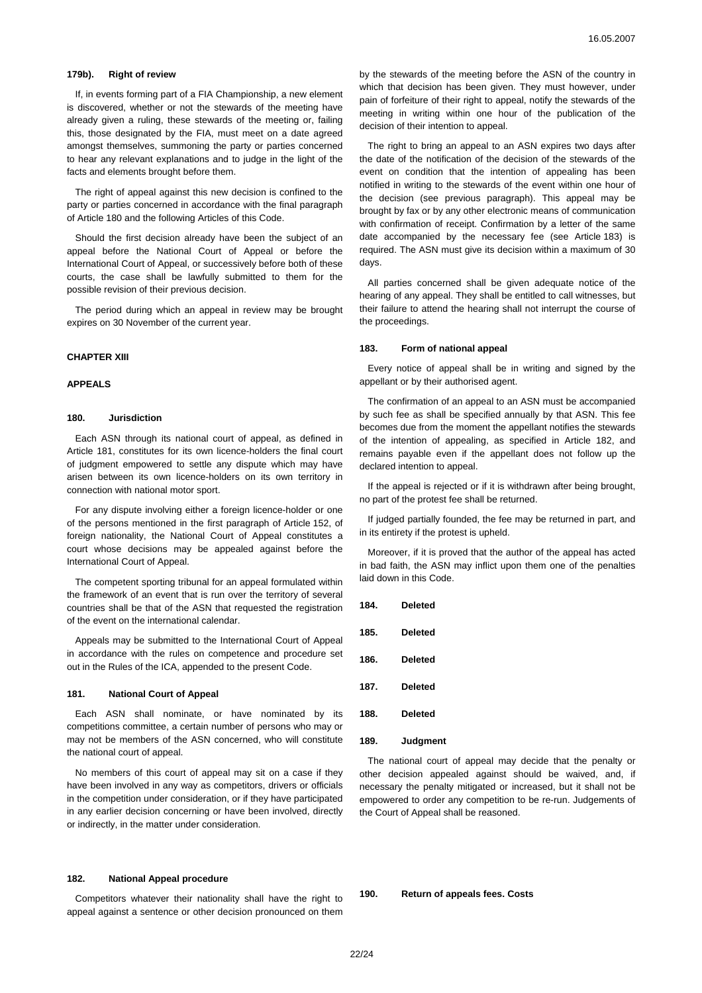### **179b). Right of review**

If, in events forming part of a FIA Championship, a new element is discovered, whether or not the stewards of the meeting have already given a ruling, these stewards of the meeting or, failing this, those designated by the FIA, must meet on a date agreed amongst themselves, summoning the party or parties concerned to hear any relevant explanations and to judge in the light of the facts and elements brought before them.

The right of appeal against this new decision is confined to the party or parties concerned in accordance with the final paragraph of Article 180 and the following Articles of this Code.

Should the first decision already have been the subject of an appeal before the National Court of Appeal or before the International Court of Appeal, or successively before both of these courts, the case shall be lawfully submitted to them for the possible revision of their previous decision.

The period during which an appeal in review may be brought expires on 30 November of the current year.

### **CHAPTER XIII**

## **APPEALS**

### **180. Jurisdiction**

Each ASN through its national court of appeal, as defined in Article 181, constitutes for its own licence-holders the final court of judgment empowered to settle any dispute which may have arisen between its own licence-holders on its own territory in connection with national motor sport.

For any dispute involving either a foreign licence-holder or one of the persons mentioned in the first paragraph of Article 152, of foreign nationality, the National Court of Appeal constitutes a court whose decisions may be appealed against before the International Court of Appeal.

The competent sporting tribunal for an appeal formulated within the framework of an event that is run over the territory of several countries shall be that of the ASN that requested the registration of the event on the international calendar.

Appeals may be submitted to the International Court of Appeal in accordance with the rules on competence and procedure set out in the Rules of the ICA, appended to the present Code.

## **181. National Court of Appeal**

Each ASN shall nominate, or have nominated by its competitions committee, a certain number of persons who may or may not be members of the ASN concerned, who will constitute the national court of appeal.

No members of this court of appeal may sit on a case if they have been involved in any way as competitors, drivers or officials in the competition under consideration, or if they have participated in any earlier decision concerning or have been involved, directly or indirectly, in the matter under consideration.

## **182. National Appeal procedure**

Competitors whatever their nationality shall have the right to appeal against a sentence or other decision pronounced on them by the stewards of the meeting before the ASN of the country in which that decision has been given. They must however, under pain of forfeiture of their right to appeal, notify the stewards of the meeting in writing within one hour of the publication of the decision of their intention to appeal.

The right to bring an appeal to an ASN expires two days after the date of the notification of the decision of the stewards of the event on condition that the intention of appealing has been notified in writing to the stewards of the event within one hour of the decision (see previous paragraph). This appeal may be brought by fax or by any other electronic means of communication with confirmation of receipt. Confirmation by a letter of the same date accompanied by the necessary fee (see Article 183) is required. The ASN must give its decision within a maximum of 30 days.

All parties concerned shall be given adequate notice of the hearing of any appeal. They shall be entitled to call witnesses, but their failure to attend the hearing shall not interrupt the course of the proceedings.

### **183. Form of national appeal**

Every notice of appeal shall be in writing and signed by the appellant or by their authorised agent.

The confirmation of an appeal to an ASN must be accompanied by such fee as shall be specified annually by that ASN. This fee becomes due from the moment the appellant notifies the stewards of the intention of appealing, as specified in Article 182, and remains payable even if the appellant does not follow up the declared intention to appeal.

If the appeal is rejected or if it is withdrawn after being brought, no part of the protest fee shall be returned.

If judged partially founded, the fee may be returned in part, and in its entirety if the protest is upheld.

Moreover, if it is proved that the author of the appeal has acted in bad faith, the ASN may inflict upon them one of the penalties laid down in this Code.

- **184. Deleted**
- **185. Deleted**
- **186. Deleted**
- **187. Deleted**
- **188. Deleted**
- **189. Judgment**

The national court of appeal may decide that the penalty or other decision appealed against should be waived, and, if necessary the penalty mitigated or increased, but it shall not be empowered to order any competition to be re-run. Judgements of the Court of Appeal shall be reasoned.

**190. Return of appeals fees. Costs**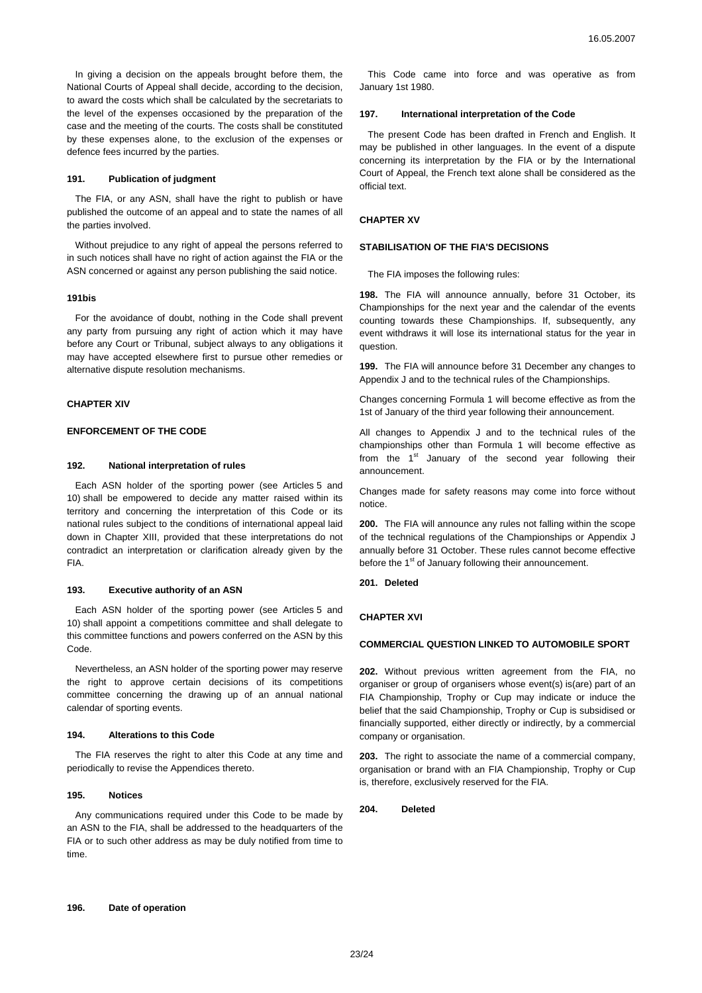In giving a decision on the appeals brought before them, the National Courts of Appeal shall decide, according to the decision, to award the costs which shall be calculated by the secretariats to the level of the expenses occasioned by the preparation of the case and the meeting of the courts. The costs shall be constituted by these expenses alone, to the exclusion of the expenses or defence fees incurred by the parties.

#### **191. Publication of judgment**

The FIA, or any ASN, shall have the right to publish or have published the outcome of an appeal and to state the names of all the parties involved.

Without prejudice to any right of appeal the persons referred to in such notices shall have no right of action against the FIA or the ASN concerned or against any person publishing the said notice.

### **191bis**

For the avoidance of doubt, nothing in the Code shall prevent any party from pursuing any right of action which it may have before any Court or Tribunal, subject always to any obligations it may have accepted elsewhere first to pursue other remedies or alternative dispute resolution mechanisms.

#### **CHAPTER XIV**

### **ENFORCEMENT OF THE CODE**

#### **192. National interpretation of rules**

Each ASN holder of the sporting power (see Articles 5 and 10) shall be empowered to decide any matter raised within its territory and concerning the interpretation of this Code or its national rules subject to the conditions of international appeal laid down in Chapter XIII, provided that these interpretations do not contradict an interpretation or clarification already given by the FIA.

### **193. Executive authority of an ASN**

Each ASN holder of the sporting power (see Articles 5 and 10) shall appoint a competitions committee and shall delegate to this committee functions and powers conferred on the ASN by this Code.

Nevertheless, an ASN holder of the sporting power may reserve the right to approve certain decisions of its competitions committee concerning the drawing up of an annual national calendar of sporting events.

#### **194. Alterations to this Code**

The FIA reserves the right to alter this Code at any time and periodically to revise the Appendices thereto.

## **195. Notices**

Any communications required under this Code to be made by an ASN to the FIA, shall be addressed to the headquarters of the FIA or to such other address as may be duly notified from time to time.

This Code came into force and was operative as from January 1st 1980.

#### **197. International interpretation of the Code**

The present Code has been drafted in French and English. It may be published in other languages. In the event of a dispute concerning its interpretation by the FIA or by the International Court of Appeal, the French text alone shall be considered as the official text.

## **CHAPTER XV**

#### **STABILISATION OF THE FIA'S DECISIONS**

The FIA imposes the following rules:

**198.** The FIA will announce annually, before 31 October, its Championships for the next year and the calendar of the events counting towards these Championships. If, subsequently, any event withdraws it will lose its international status for the year in question.

**199.** The FIA will announce before 31 December any changes to Appendix J and to the technical rules of the Championships.

Changes concerning Formula 1 will become effective as from the 1st of January of the third year following their announcement.

All changes to Appendix J and to the technical rules of the championships other than Formula 1 will become effective as from the  $1^{st}$  January of the second year following their announcement.

Changes made for safety reasons may come into force without notice.

**200.** The FIA will announce any rules not falling within the scope of the technical regulations of the Championships or Appendix J annually before 31 October. These rules cannot become effective before the 1<sup>st</sup> of January following their announcement.

**201. Deleted** 

## **CHAPTER XVI**

## **COMMERCIAL QUESTION LINKED TO AUTOMOBILE SPORT**

**202.** Without previous written agreement from the FIA, no organiser or group of organisers whose event(s) is(are) part of an FIA Championship, Trophy or Cup may indicate or induce the belief that the said Championship, Trophy or Cup is subsidised or financially supported, either directly or indirectly, by a commercial company or organisation.

**203.** The right to associate the name of a commercial company, organisation or brand with an FIA Championship, Trophy or Cup is, therefore, exclusively reserved for the FIA.

**204. Deleted**